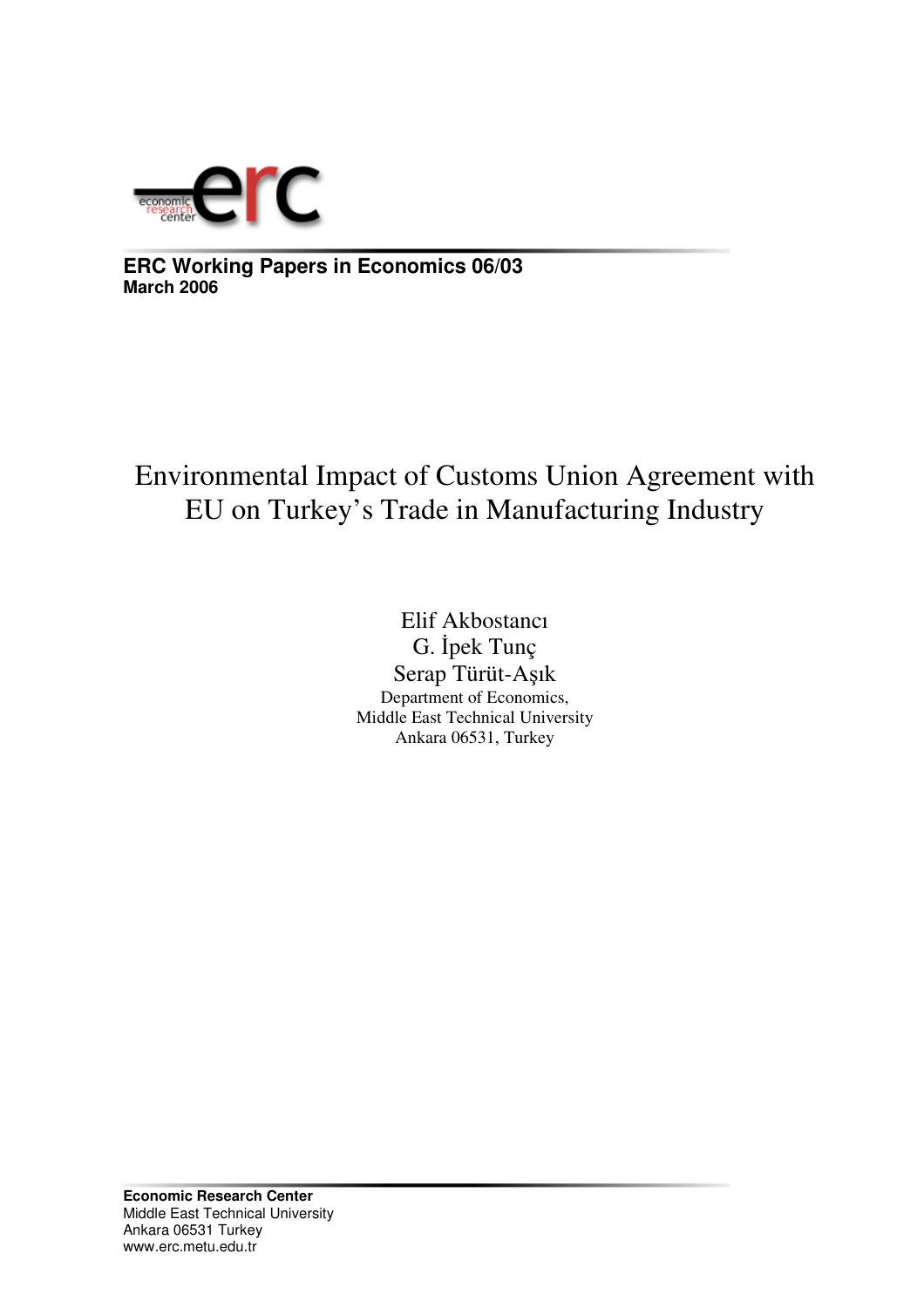

**ERC Working Papers in Economics 06/03 March 2006**

# Environmental Impact of Customs Union Agreement with EU on Turkey's Trade in Manufacturing Industry

Elif Akbostancı G. İpek Tunç Serap Türüt-Aşık Department of Economics, Middle East Technical University Ankara 06531, Turkey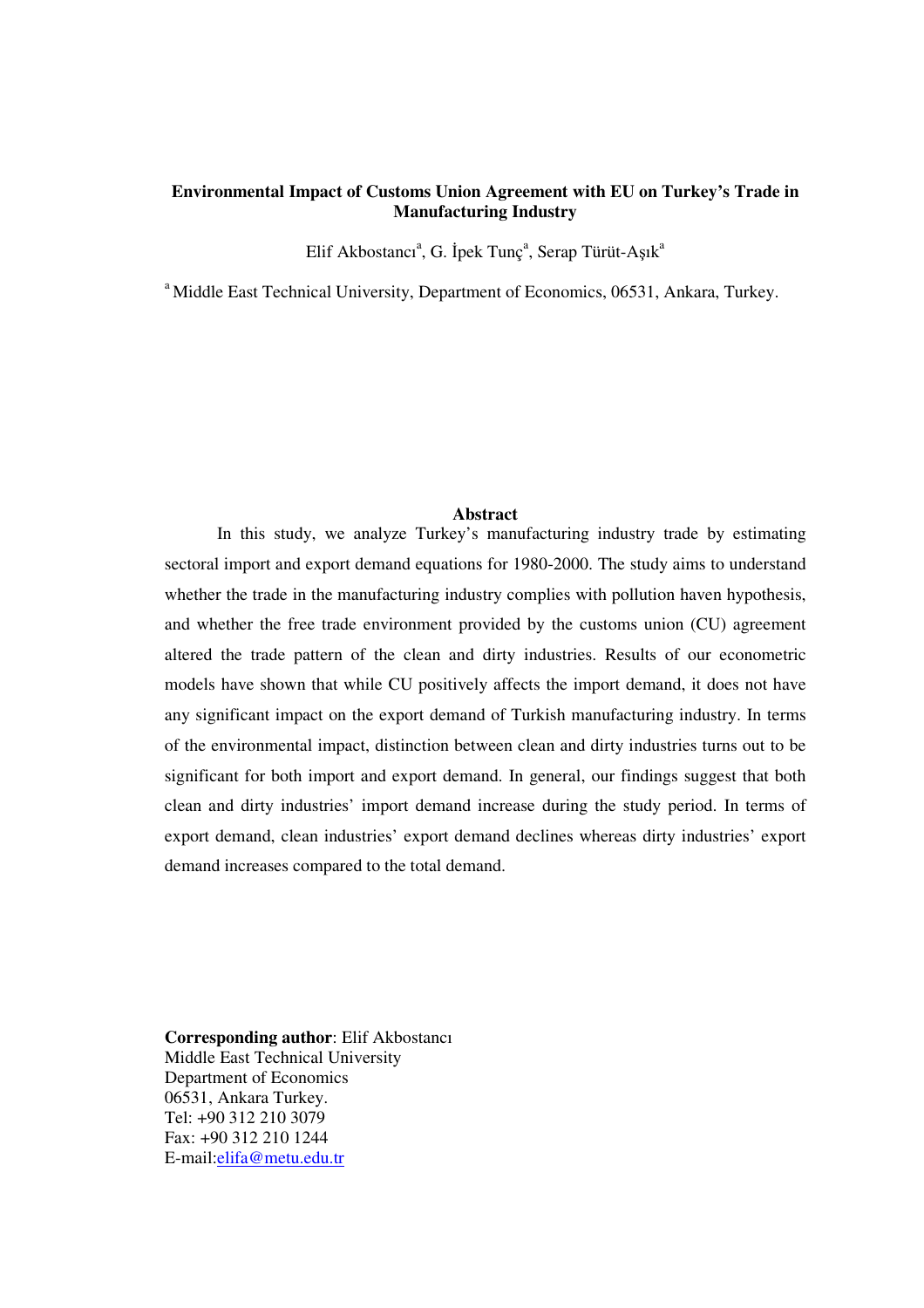## **Environmental Impact of Customs Union Agreement with EU on Turkey's Trade in Manufacturing Industry**

Elif Akbostancı<sup>a</sup>, G. İpek Tunç<sup>a</sup>, Serap Türüt-Aşık<sup>a</sup>

<sup>a</sup> Middle East Technical University, Department of Economics, 06531, Ankara, Turkey.

#### **Abstract**

In this study, we analyze Turkey's manufacturing industry trade by estimating sectoral import and export demand equations for 1980-2000. The study aims to understand whether the trade in the manufacturing industry complies with pollution haven hypothesis, and whether the free trade environment provided by the customs union (CU) agreement altered the trade pattern of the clean and dirty industries. Results of our econometric models have shown that while CU positively affects the import demand, it does not have any significant impact on the export demand of Turkish manufacturing industry. In terms of the environmental impact, distinction between clean and dirty industries turns out to be significant for both import and export demand. In general, our findings suggest that both clean and dirty industries' import demand increase during the study period. In terms of export demand, clean industries' export demand declines whereas dirty industries' export demand increases compared to the total demand.

**Corresponding author**: Elif Akbostancı Middle East Technical University Department of Economics 06531, Ankara Turkey. Tel: +90 312 210 3079 Fax: +90 312 210 1244 E-mail:elifa@metu.edu.tr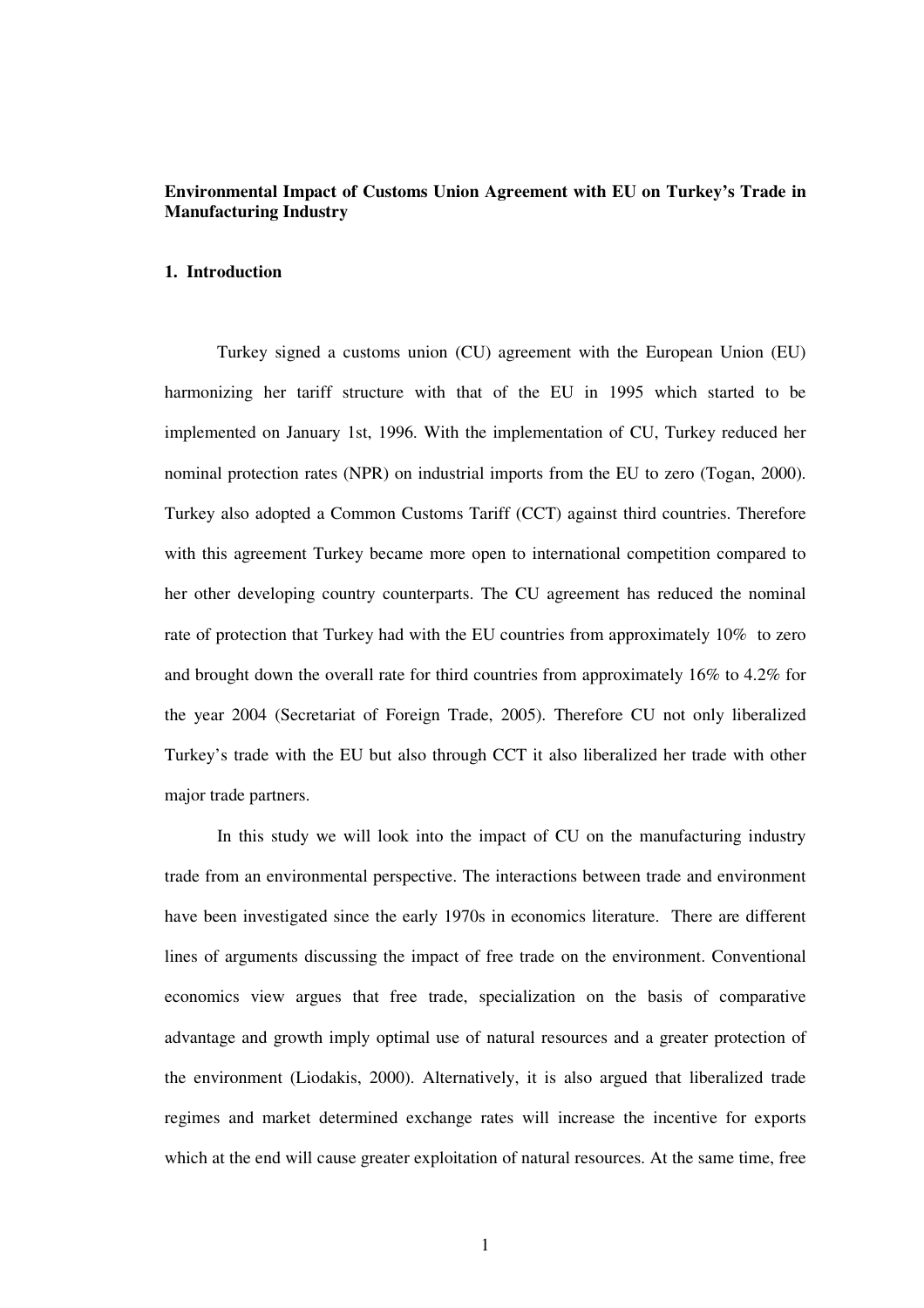## **Environmental Impact of Customs Union Agreement with EU on Turkey's Trade in Manufacturing Industry**

## **1. Introduction**

Turkey signed a customs union (CU) agreement with the European Union (EU) harmonizing her tariff structure with that of the EU in 1995 which started to be implemented on January 1st, 1996. With the implementation of CU, Turkey reduced her nominal protection rates (NPR) on industrial imports from the EU to zero (Togan, 2000). Turkey also adopted a Common Customs Tariff (CCT) against third countries. Therefore with this agreement Turkey became more open to international competition compared to her other developing country counterparts. The CU agreement has reduced the nominal rate of protection that Turkey had with the EU countries from approximately 10% to zero and brought down the overall rate for third countries from approximately 16% to 4.2% for the year 2004 (Secretariat of Foreign Trade, 2005). Therefore CU not only liberalized Turkey's trade with the EU but also through CCT it also liberalized her trade with other major trade partners.

In this study we will look into the impact of CU on the manufacturing industry trade from an environmental perspective. The interactions between trade and environment have been investigated since the early 1970s in economics literature. There are different lines of arguments discussing the impact of free trade on the environment. Conventional economics view argues that free trade, specialization on the basis of comparative advantage and growth imply optimal use of natural resources and a greater protection of the environment (Liodakis, 2000). Alternatively, it is also argued that liberalized trade regimes and market determined exchange rates will increase the incentive for exports which at the end will cause greater exploitation of natural resources. At the same time, free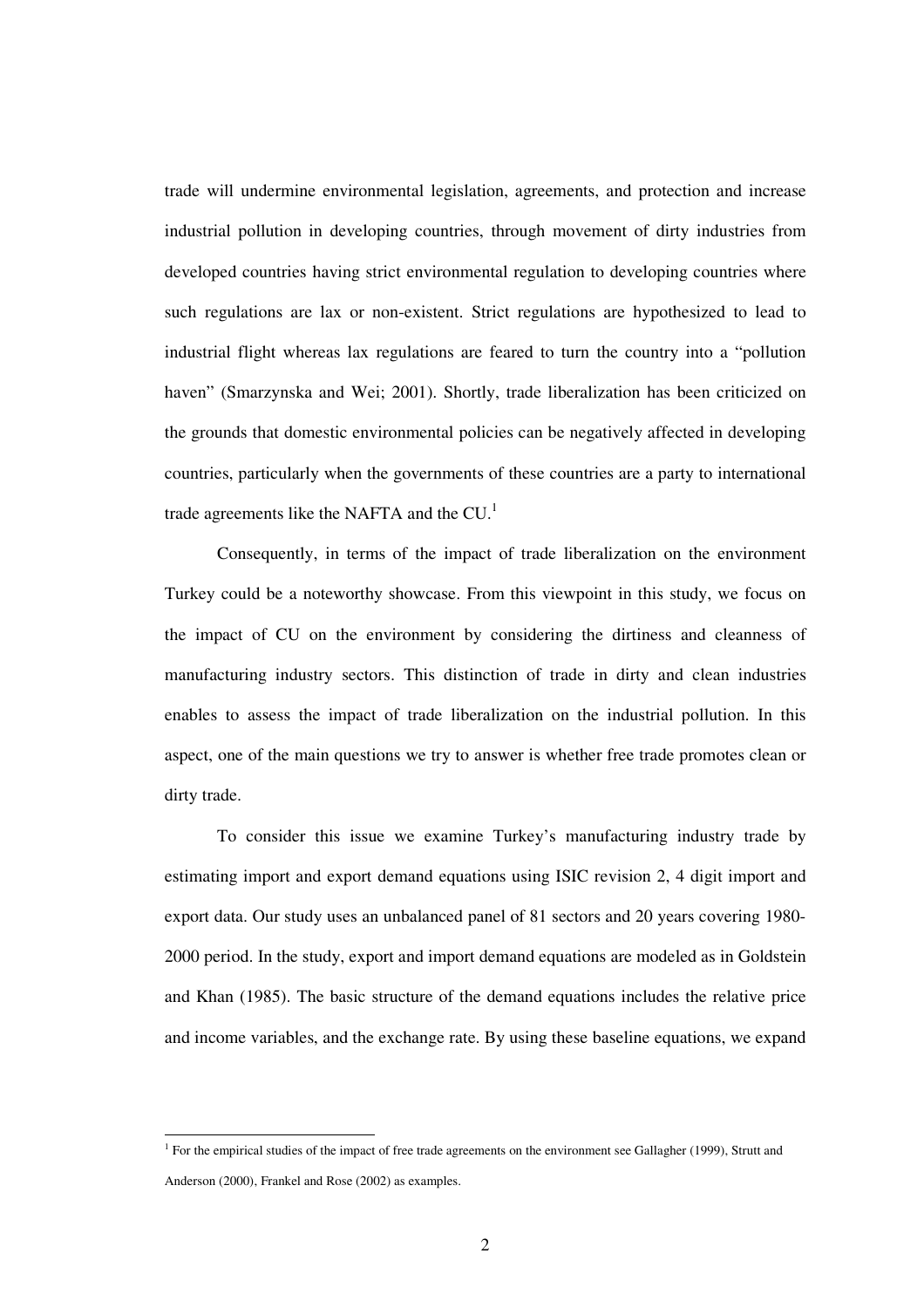trade will undermine environmental legislation, agreements, and protection and increase industrial pollution in developing countries, through movement of dirty industries from developed countries having strict environmental regulation to developing countries where such regulations are lax or non-existent. Strict regulations are hypothesized to lead to industrial flight whereas lax regulations are feared to turn the country into a "pollution haven" (Smarzynska and Wei; 2001). Shortly, trade liberalization has been criticized on the grounds that domestic environmental policies can be negatively affected in developing countries, particularly when the governments of these countries are a party to international trade agreements like the NAFTA and the  $CU.<sup>1</sup>$ 

Consequently, in terms of the impact of trade liberalization on the environment Turkey could be a noteworthy showcase. From this viewpoint in this study, we focus on the impact of CU on the environment by considering the dirtiness and cleanness of manufacturing industry sectors. This distinction of trade in dirty and clean industries enables to assess the impact of trade liberalization on the industrial pollution. In this aspect, one of the main questions we try to answer is whether free trade promotes clean or dirty trade.

To consider this issue we examine Turkey's manufacturing industry trade by estimating import and export demand equations using ISIC revision 2, 4 digit import and export data. Our study uses an unbalanced panel of 81 sectors and 20 years covering 1980- 2000 period. In the study, export and import demand equations are modeled as in Goldstein and Khan (1985). The basic structure of the demand equations includes the relative price and income variables, and the exchange rate. By using these baseline equations, we expand

<sup>&</sup>lt;sup>1</sup> For the empirical studies of the impact of free trade agreements on the environment see Gallagher (1999), Strutt and Anderson (2000), Frankel and Rose (2002) as examples.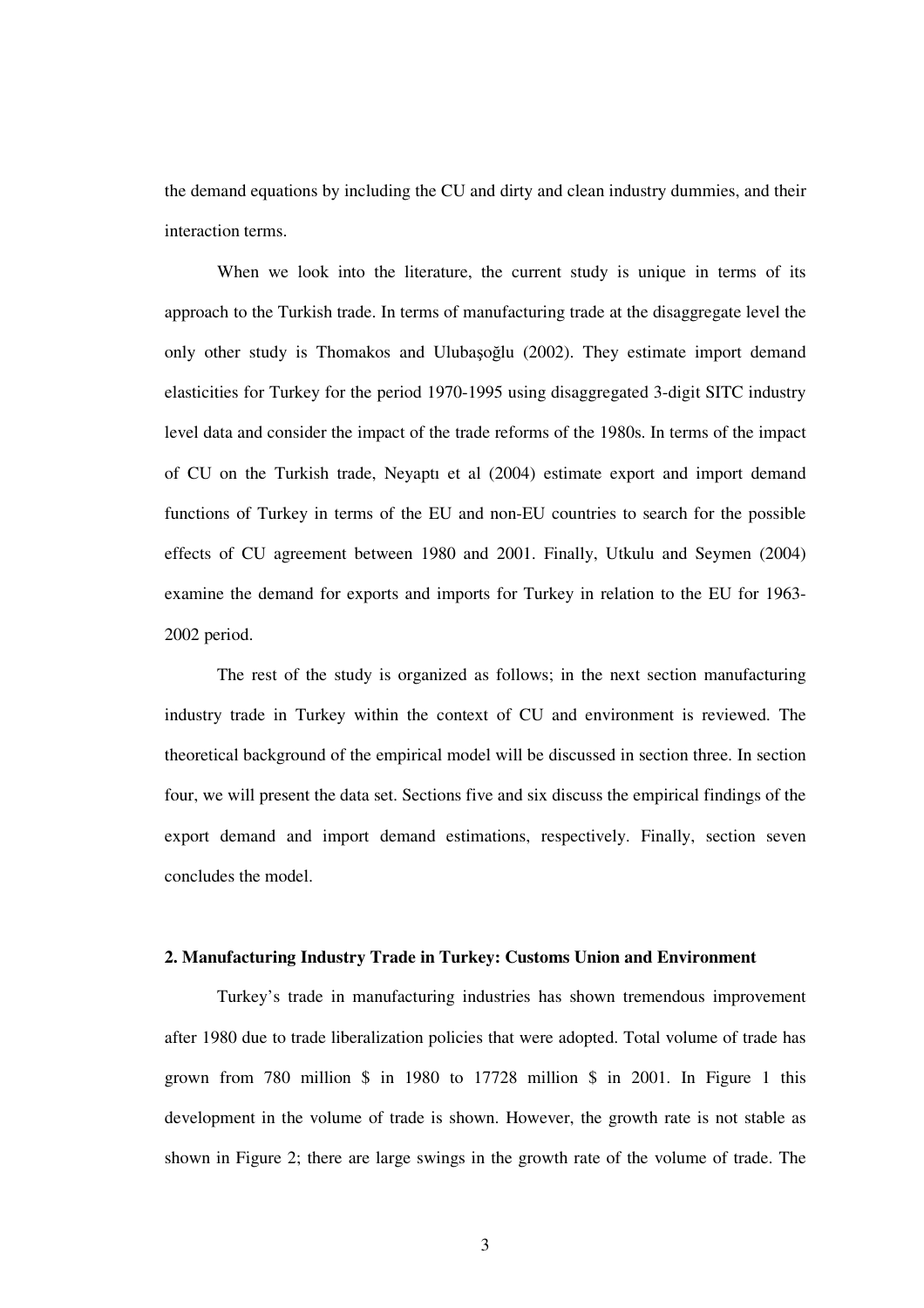the demand equations by including the CU and dirty and clean industry dummies, and their interaction terms.

When we look into the literature, the current study is unique in terms of its approach to the Turkish trade. In terms of manufacturing trade at the disaggregate level the only other study is Thomakos and Ulubașoğlu (2002). They estimate import demand elasticities for Turkey for the period 1970-1995 using disaggregated 3-digit SITC industry level data and consider the impact of the trade reforms of the 1980s. In terms of the impact of CU on the Turkish trade, Neyaptı et al (2004) estimate export and import demand functions of Turkey in terms of the EU and non-EU countries to search for the possible effects of CU agreement between 1980 and 2001. Finally, Utkulu and Seymen (2004) examine the demand for exports and imports for Turkey in relation to the EU for 1963- 2002 period.

The rest of the study is organized as follows; in the next section manufacturing industry trade in Turkey within the context of CU and environment is reviewed. The theoretical background of the empirical model will be discussed in section three. In section four, we will present the data set. Sections five and six discuss the empirical findings of the export demand and import demand estimations, respectively. Finally, section seven concludes the model.

## **2. Manufacturing Industry Trade in Turkey: Customs Union and Environment**

Turkey's trade in manufacturing industries has shown tremendous improvement after 1980 due to trade liberalization policies that were adopted. Total volume of trade has grown from 780 million \$ in 1980 to 17728 million \$ in 2001. In Figure 1 this development in the volume of trade is shown. However, the growth rate is not stable as shown in Figure 2; there are large swings in the growth rate of the volume of trade. The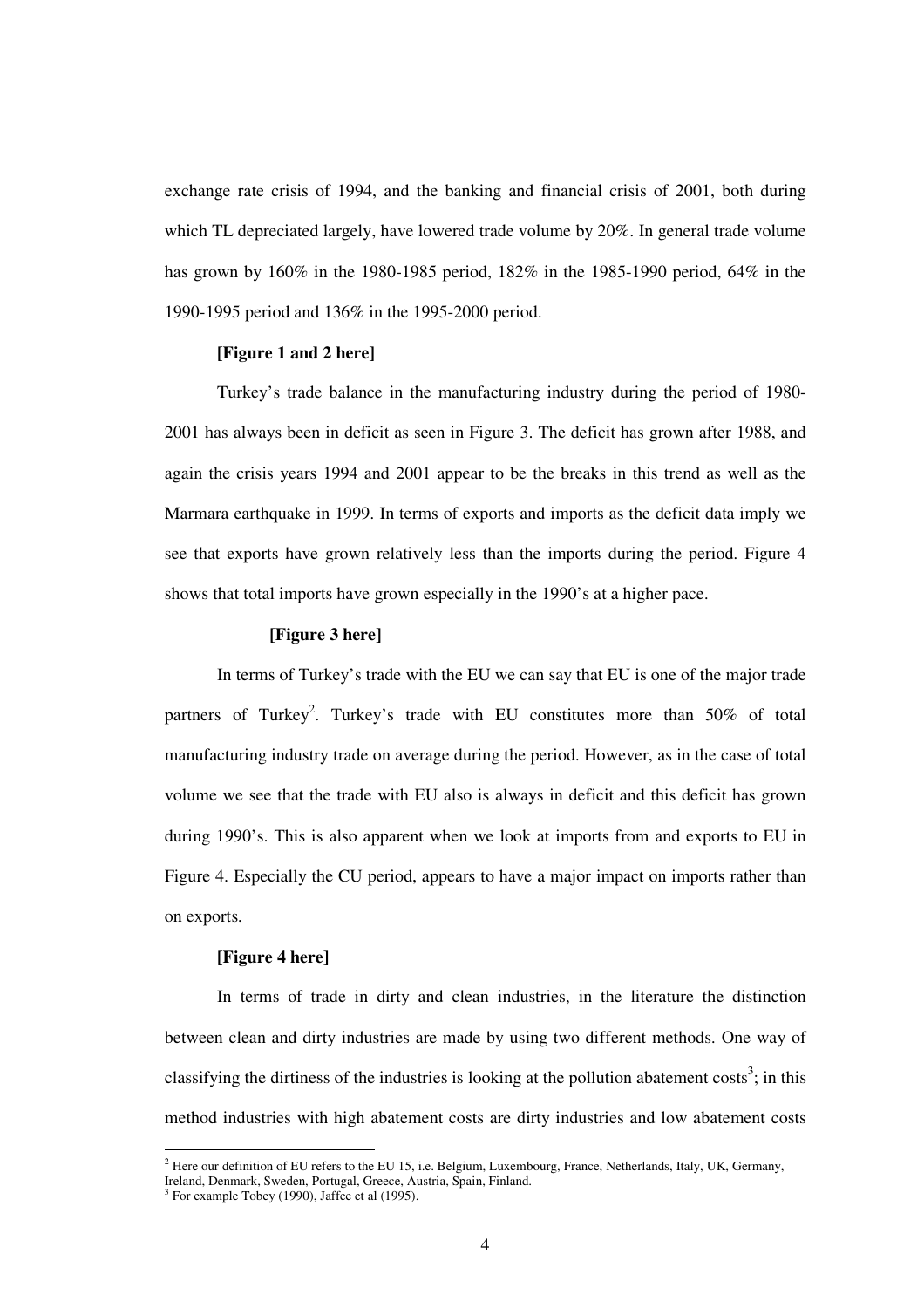exchange rate crisis of 1994, and the banking and financial crisis of 2001, both during which TL depreciated largely, have lowered trade volume by 20%. In general trade volume has grown by 160% in the 1980-1985 period, 182% in the 1985-1990 period, 64% in the 1990-1995 period and 136% in the 1995-2000 period.

## **[Figure 1 and 2 here]**

Turkey's trade balance in the manufacturing industry during the period of 1980- 2001 has always been in deficit as seen in Figure 3. The deficit has grown after 1988, and again the crisis years 1994 and 2001 appear to be the breaks in this trend as well as the Marmara earthquake in 1999. In terms of exports and imports as the deficit data imply we see that exports have grown relatively less than the imports during the period. Figure 4 shows that total imports have grown especially in the 1990's at a higher pace.

#### **[Figure 3 here]**

In terms of Turkey's trade with the EU we can say that EU is one of the major trade partners of Turkey<sup>2</sup>. Turkey's trade with EU constitutes more than 50% of total manufacturing industry trade on average during the period. However, as in the case of total volume we see that the trade with EU also is always in deficit and this deficit has grown during 1990's. This is also apparent when we look at imports from and exports to EU in Figure 4. Especially the CU period, appears to have a major impact on imports rather than on exports.

#### **[Figure 4 here]**

In terms of trade in dirty and clean industries, in the literature the distinction between clean and dirty industries are made by using two different methods. One way of classifying the dirtiness of the industries is looking at the pollution abatement costs<sup>3</sup>; in this method industries with high abatement costs are dirty industries and low abatement costs

<sup>&</sup>lt;sup>2</sup> Here our definition of EU refers to the EU 15, i.e. Belgium, Luxembourg, France, Netherlands, Italy, UK, Germany,

Ireland, Denmark, Sweden, Portugal, Greece, Austria, Spain, Finland.

 $3$  For example Tobey (1990), Jaffee et al (1995).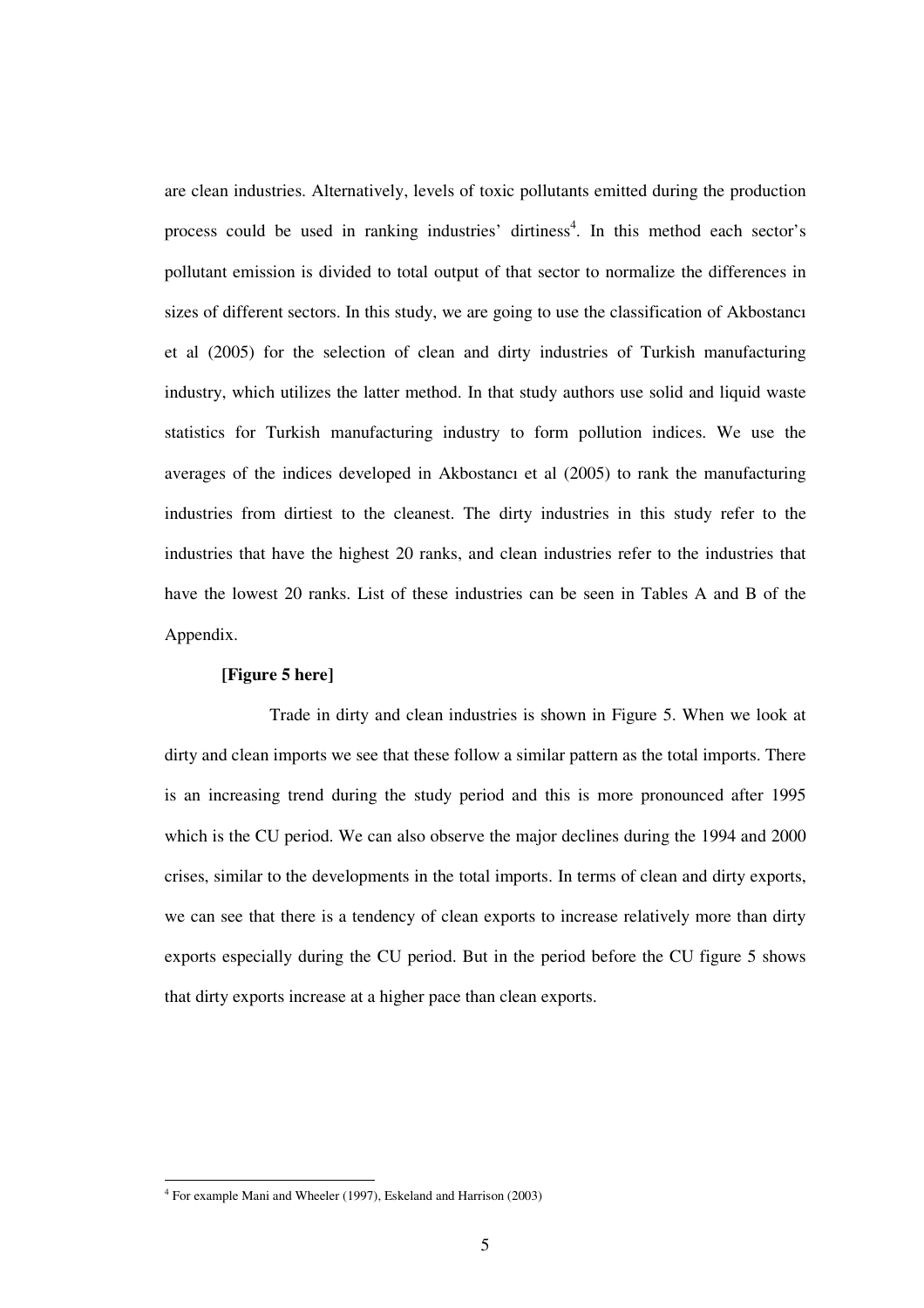are clean industries. Alternatively, levels of toxic pollutants emitted during the production process could be used in ranking industries' dirtiness 4 . In this method each sector's pollutant emission is divided to total output of that sector to normalize the differences in sizes of different sectors. In this study, we are going to use the classification of Akbostancı et al (2005) for the selection of clean and dirty industries of Turkish manufacturing industry, which utilizes the latter method. In that study authors use solid and liquid waste statistics for Turkish manufacturing industry to form pollution indices. We use the averages of the indices developed in Akbostancı et al (2005) to rank the manufacturing industries from dirtiest to the cleanest. The dirty industries in this study refer to the industries that have the highest 20 ranks, and clean industries refer to the industries that have the lowest 20 ranks. List of these industries can be seen in Tables A and B of the Appendix.

#### **[Figure 5 here]**

Trade in dirty and clean industries is shown in Figure 5. When we look at dirty and clean imports we see that these follow a similar pattern as the total imports. There is an increasing trend during the study period and this is more pronounced after 1995 which is the CU period. We can also observe the major declines during the 1994 and 2000 crises, similar to the developments in the total imports. In terms of clean and dirty exports, we can see that there is a tendency of clean exports to increase relatively more than dirty exports especially during the CU period. But in the period before the CU figure 5 shows that dirty exports increase at a higher pace than clean exports.

<sup>4</sup> For example Mani and Wheeler (1997), Eskeland and Harrison (2003)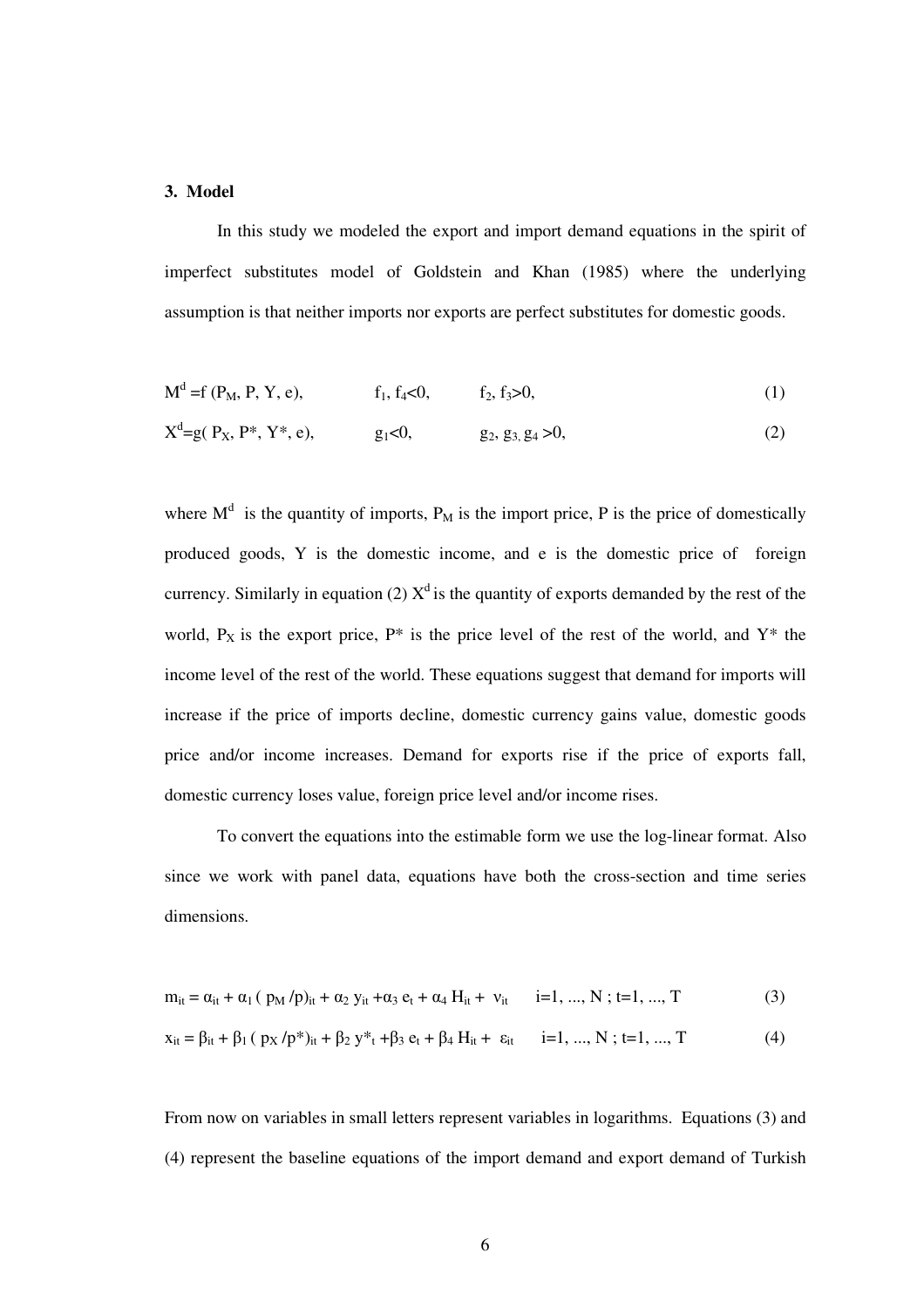#### **3. Model**

In this study we modeled the export and import demand equations in the spirit of imperfect substitutes model of Goldstein and Khan (1985) where the underlying assumption is that neither imports nor exports are perfect substitutes for domestic goods.

$$
Md = f(PM, P, Y, e), \t f1, f4 < 0, \t f2, f3 > 0,
$$
\t(1)

$$
Xd=g(P_X, P^*, Y^*, e), \t g_1<0, \t g_2, g_3, g_4>0,
$$
\t(2)

where  $M<sup>d</sup>$  is the quantity of imports,  $P_M$  is the import price, P is the price of domestically produced goods, Y is the domestic income, and e is the domestic price of foreign currency. Similarly in equation (2)  $X^d$  is the quantity of exports demanded by the rest of the world,  $P_X$  is the export price,  $P^*$  is the price level of the rest of the world, and  $Y^*$  the income level of the rest of the world. These equations suggest that demand for imports will increase if the price of imports decline, domestic currency gains value, domestic goods price and/or income increases. Demand for exports rise if the price of exports fall, domestic currency loses value, foreign price level and/or income rises.

To convert the equations into the estimable form we use the log-linear format. Also since we work with panel data, equations have both the cross-section and time series dimensions.

$$
m_{it} = \alpha_{it} + \alpha_1 (p_M/p)_{it} + \alpha_2 y_{it} + \alpha_3 e_t + \alpha_4 H_{it} + v_{it} \qquad i=1, ..., N; t=1, ..., T
$$
 (3)

$$
x_{it} = \beta_{it} + \beta_1 (p_X / p^*)_{it} + \beta_2 y^*_{t} + \beta_3 e_t + \beta_4 H_{it} + \varepsilon_{it} \qquad i = 1, ..., N; t = 1, ..., T
$$
 (4)

From now on variables in small letters represent variables in logarithms. Equations (3) and (4) represent the baseline equations of the import demand and export demand of Turkish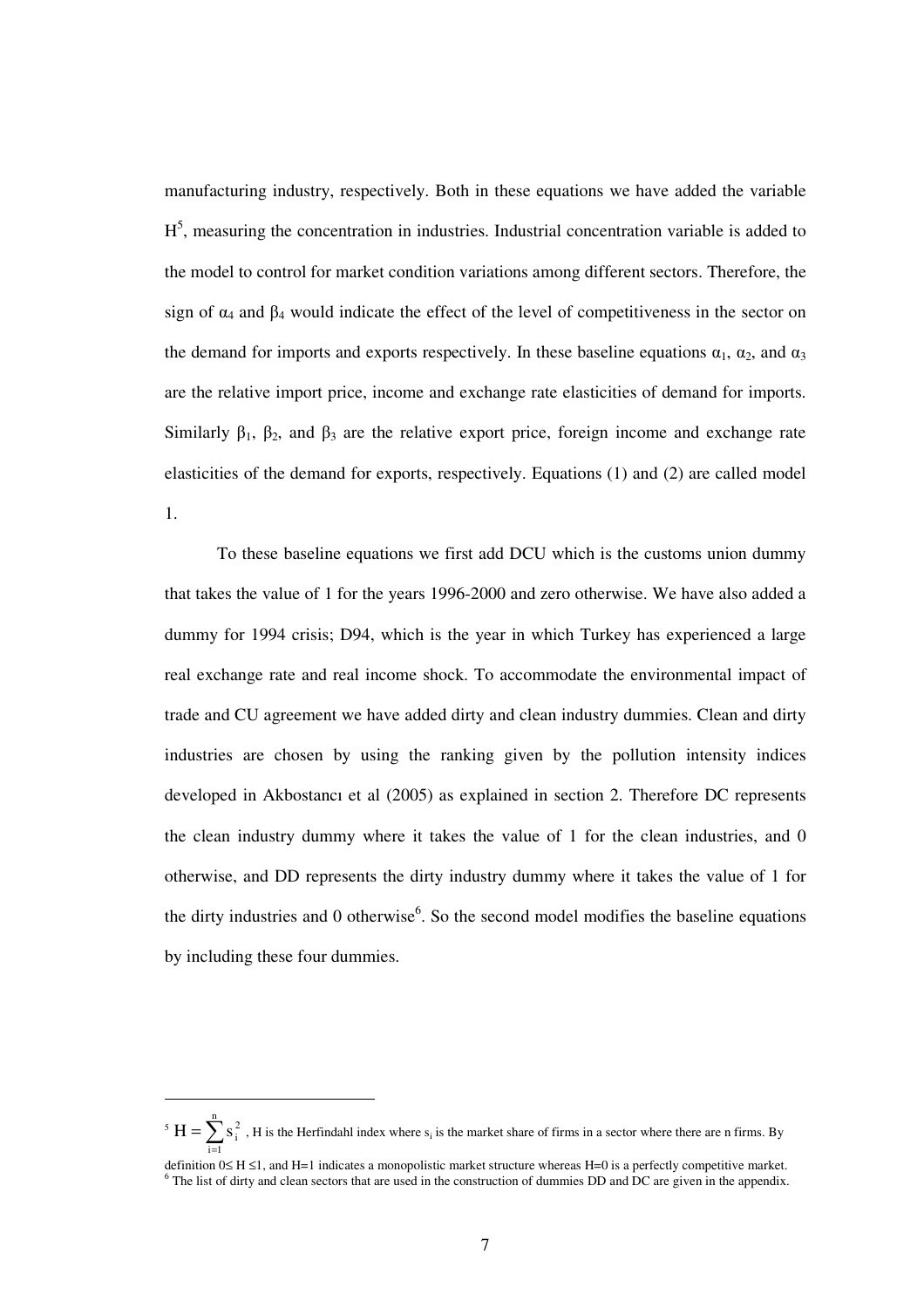manufacturing industry, respectively. Both in these equations we have added the variable  $H<sup>5</sup>$ , measuring the concentration in industries. Industrial concentration variable is added to the model to control for market condition variations among different sectors. Therefore, the sign of  $\alpha_4$  and  $\beta_4$  would indicate the effect of the level of competitiveness in the sector on the demand for imports and exports respectively. In these baseline equations  $\alpha_1$ ,  $\alpha_2$ , and  $\alpha_3$ are the relative import price, income and exchange rate elasticities of demand for imports. Similarly  $\beta_1$ ,  $\beta_2$ , and  $\beta_3$  are the relative export price, foreign income and exchange rate elasticities of the demand for exports, respectively. Equations (1) and (2) are called model 1.

To these baseline equations we first add DCU which is the customs union dummy that takes the value of 1 for the years 1996-2000 and zero otherwise. We have also added a dummy for 1994 crisis; D94, which is the year in which Turkey has experienced a large real exchange rate and real income shock. To accommodate the environmental impact of trade and CU agreement we have added dirty and clean industry dummies. Clean and dirty industries are chosen by using the ranking given by the pollution intensity indices developed in Akbostancı et al (2005) as explained in section 2. Therefore DC represents the clean industry dummy where it takes the value of 1 for the clean industries, and 0 otherwise, and DD represents the dirty industry dummy where it takes the value of 1 for the dirty industries and 0 otherwise<sup>6</sup>. So the second model modifies the baseline equations by including these four dummies.

<sup>&</sup>lt;sup>5</sup>  $H = \sum_{i=1}^{n} s_i^2$ , H is the Herfindahl index where  $s_i$  is the market share of firms in a sector where there are n firms. By =  $i = 1$ 

definition 0≤ H ≤1, and H=1 indicates a monopolistic market structure whereas H=0 is a perfectly competitive market. <sup>6</sup> The list of dirty and clean sectors that are used in the construction of dummies DD and DC are given in the appendix.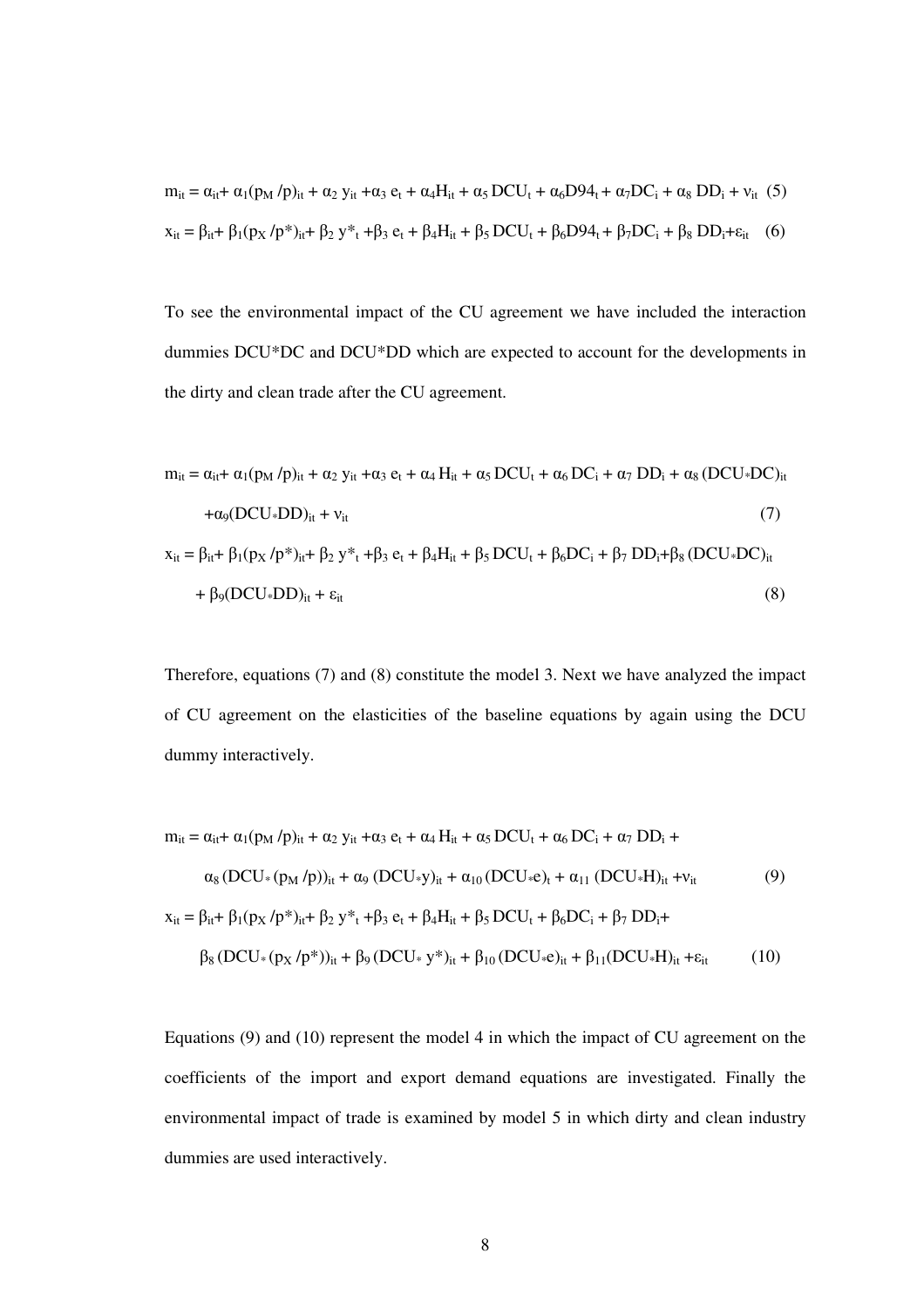$$
m_{it} = \alpha_{it} + \alpha_1 (p_M/p)_{it} + \alpha_2 y_{it} + \alpha_3 e_t + \alpha_4 H_{it} + \alpha_5 DCU_t + \alpha_6 D94_t + \alpha_7 DC_i + \alpha_8 DD_i + v_{it} (5)
$$
  

$$
x_{it} = \beta_{it} + \beta_1 (p_X/p^*)_{it} + \beta_2 y^*_{t} + \beta_3 e_t + \beta_4 H_{it} + \beta_5 DCU_t + \beta_6 D94_t + \beta_7 DC_i + \beta_8 DD_i + \varepsilon_{it} (6)
$$

To see the environmental impact of the CU agreement we have included the interaction dummies DCU\*DC and DCU\*DD which are expected to account for the developments in the dirty and clean trade after the CU agreement.

$$
m_{it} = \alpha_{it} + \alpha_1 (p_M / p)_{it} + \alpha_2 y_{it} + \alpha_3 e_t + \alpha_4 H_{it} + \alpha_5 DCU_t + \alpha_6 DC_i + \alpha_7 DD_i + \alpha_8 (DCU * DC)_{it}
$$
  
+
$$
\alpha_9 (DCU * DD)_{it} + v_{it}
$$
  

$$
x_{it} = \beta_{it} + \beta_1 (p_X / p^*)_{it} + \beta_2 y^*_{t} + \beta_3 e_t + \beta_4 H_{it} + \beta_5 DCU_t + \beta_6 DC_i + \beta_7 DD_i + \beta_8 (DCU * DC)_{it}
$$
  
+
$$
\beta_9 (DCU * DD)_{it} + \varepsilon_{it}
$$
 (8)

Therefore, equations (7) and (8) constitute the model 3. Next we have analyzed the impact of CU agreement on the elasticities of the baseline equations by again using the DCU dummy interactively.

$$
m_{it} = \alpha_{it} + \alpha_1 (p_M / p)_{it} + \alpha_2 y_{it} + \alpha_3 e_t + \alpha_4 H_{it} + \alpha_5 DCU_t + \alpha_6 DC_i + \alpha_7 DD_i +
$$
  
\n
$$
\alpha_8 (DCU * (p_M / p))_{it} + \alpha_9 (DCU * y)_{it} + \alpha_{10} (DCU * e)_t + \alpha_{11} (DCU * H)_{it} + v_{it}
$$
  
\n
$$
x_{it} = \beta_{it} + \beta_1 (p_X / p^*)_{it} + \beta_2 y^*_{t} + \beta_3 e_t + \beta_4 H_{it} + \beta_5 DCU_t + \beta_6 DC_i + \beta_7 DD_i +
$$
  
\n
$$
\beta_8 (DCU * (p_X / p^*))_{it} + \beta_9 (DCU * y^*)_{it} + \beta_{10} (DCU * e)_{it} + \beta_{11} (DCU * H)_{it} + \epsilon_{it}
$$
  
\n(10)

Equations (9) and (10) represent the model 4 in which the impact of CU agreement on the coefficients of the import and export demand equations are investigated. Finally the environmental impact of trade is examined by model 5 in which dirty and clean industry dummies are used interactively.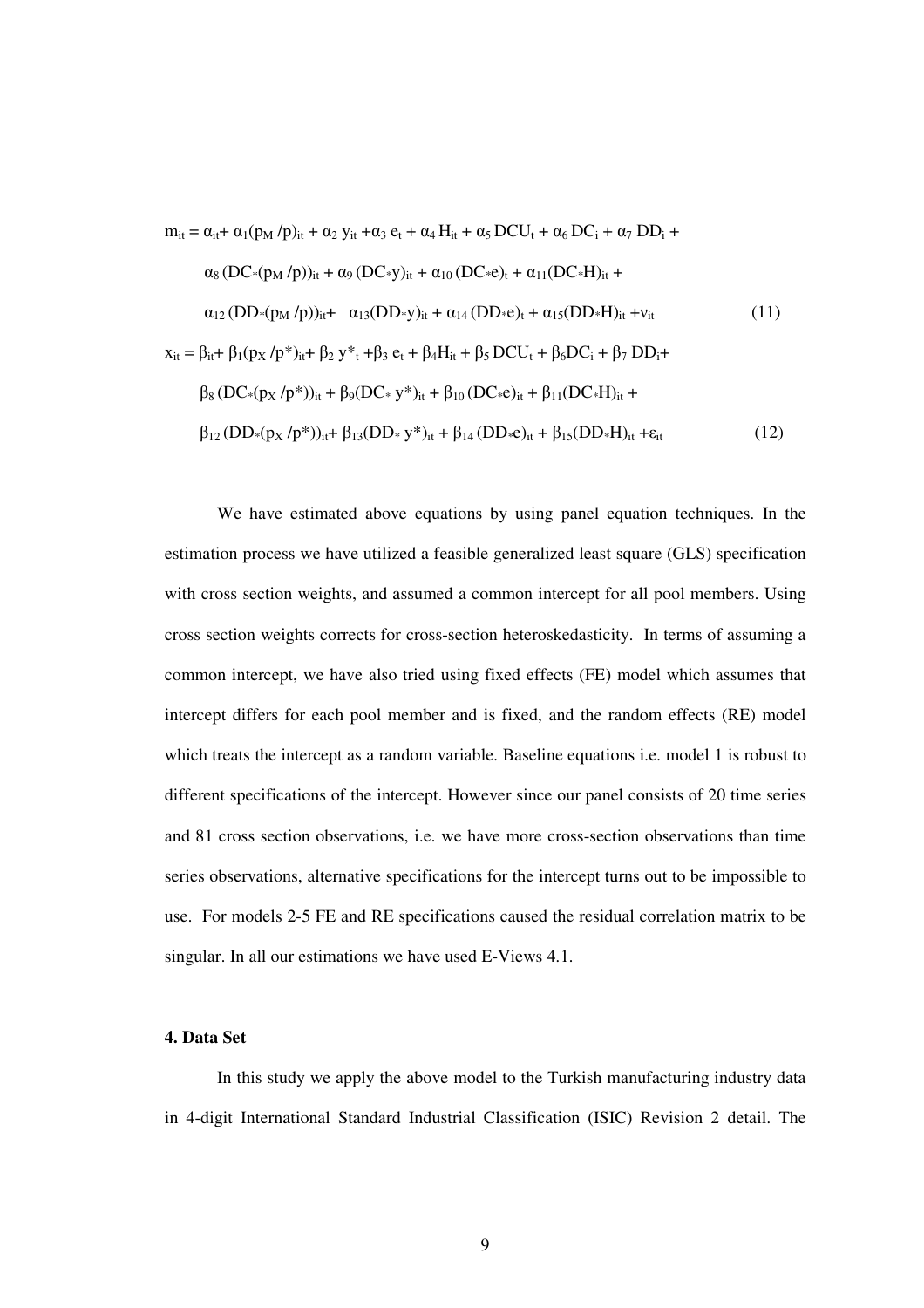$$
m_{it} = \alpha_{it} + \alpha_1 (p_M / p)_{it} + \alpha_2 y_{it} + \alpha_3 e_t + \alpha_4 H_{it} + \alpha_5 DCU_t + \alpha_6 DC_i + \alpha_7 DD_i + \alpha_8 (DC*(p_M / p))_{it} + \alpha_9 (DC*y)_{it} + \alpha_{10} (DC*e)_t + \alpha_{11} (DC*H)_{it} + \alpha_{12} (DD*(p_M / p))_{it} + \alpha_{13} (DD*y)_{it} + \alpha_{14} (DD*e)_t + \alpha_{15} (DD*H)_{it} + \nu_{it}
$$
\n
$$
x_{it} = \beta_{it} + \beta_1 (p_X / p*)_{it} + \beta_2 y*_{t} + \beta_3 e_t + \beta_4 H_{it} + \beta_5 DCU_t + \beta_6 DC_i + \beta_7 DD_i + \beta_8 (DC*(p_X / p*))_{it} + \beta_9 (DC*y*)_{it} + \beta_{10} (DC*e)_{it} + \beta_{11} (DC*H)_{it} + \beta_{12} (DD*(p_X / p*))_{it} + \beta_{13} (DD*y*)_{it} + \beta_{14} (DD*e)_{it} + \beta_{15} (DD*H)_{it} + \varepsilon_{it}
$$
\n
$$
(12)
$$

We have estimated above equations by using panel equation techniques. In the estimation process we have utilized a feasible generalized least square (GLS) specification with cross section weights, and assumed a common intercept for all pool members. Using cross section weights corrects for cross-section heteroskedasticity. In terms of assuming a common intercept, we have also tried using fixed effects (FE) model which assumes that intercept differs for each pool member and is fixed, and the random effects (RE) model which treats the intercept as a random variable. Baseline equations i.e. model 1 is robust to different specifications of the intercept. However since our panel consists of 20 time series and 81 cross section observations, i.e. we have more cross-section observations than time series observations, alternative specifications for the intercept turns out to be impossible to use. For models 2-5 FE and RE specifications caused the residual correlation matrix to be singular. In all our estimations we have used E-Views 4.1.

## **4. Data Set**

In this study we apply the above model to the Turkish manufacturing industry data in 4-digit International Standard Industrial Classification (ISIC) Revision 2 detail. The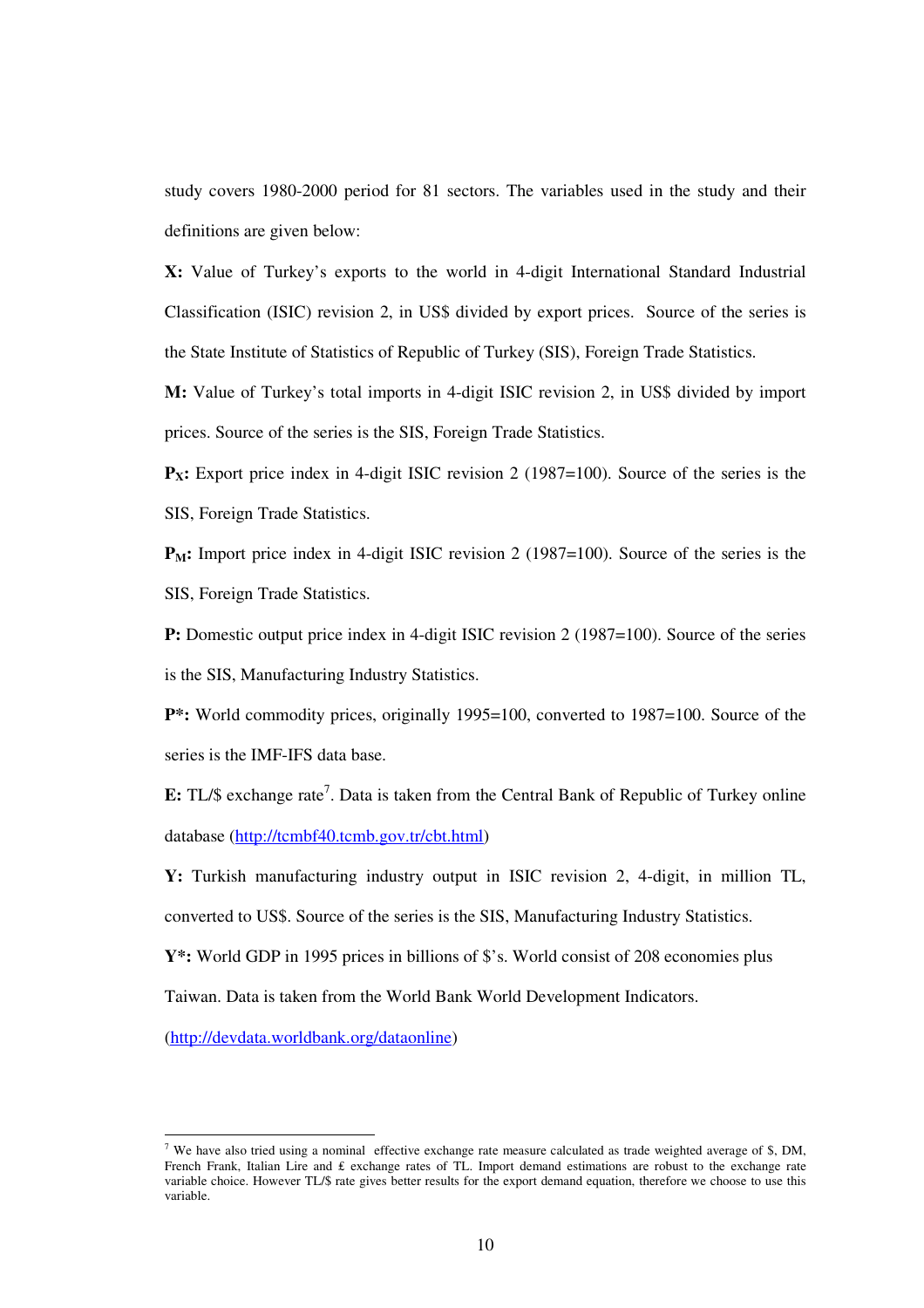study covers 1980-2000 period for 81 sectors. The variables used in the study and their definitions are given below:

**X:** Value of Turkey's exports to the world in 4-digit International Standard Industrial Classification (ISIC) revision 2, in US\$ divided by export prices. Source of the series is the State Institute of Statistics of Republic of Turkey (SIS), Foreign Trade Statistics.

**M:** Value of Turkey's total imports in 4-digit ISIC revision 2, in US\$ divided by import prices. Source of the series is the SIS, Foreign Trade Statistics.

**P<sub>X</sub>:** Export price index in 4-digit ISIC revision 2 (1987=100). Source of the series is the SIS, Foreign Trade Statistics.

**P<sub>M</sub>:** Import price index in 4-digit ISIC revision 2 (1987=100). Source of the series is the SIS, Foreign Trade Statistics.

**P:** Domestic output price index in 4-digit ISIC revision 2 (1987=100). Source of the series is the SIS, Manufacturing Industry Statistics.

**P**\*: World commodity prices, originally 1995=100, converted to 1987=100. Source of the series is the IMF-IFS data base.

E: TL/\$ exchange rate<sup>7</sup>. Data is taken from the Central Bank of Republic of Turkey online database (http://tcmbf40.tcmb.gov.tr/cbt.html)

**Y:** Turkish manufacturing industry output in ISIC revision 2, 4-digit, in million TL, converted to US\$. Source of the series is the SIS, Manufacturing Industry Statistics.

Y<sup>\*</sup>: World GDP in 1995 prices in billions of \$'s. World consist of 208 economies plus

Taiwan. Data is taken from the World Bank World Development Indicators.

(http://devdata.worldbank.org/dataonline)

<sup>&</sup>lt;sup>7</sup> We have also tried using a nominal effective exchange rate measure calculated as trade weighted average of \$, DM, French Frank, Italian Lire and  $f$  exchange rates of TL. Import demand estimations are robust to the exchange rate variable choice. However TL/\$ rate gives better results for the export demand equation, therefore we choose to use this variable.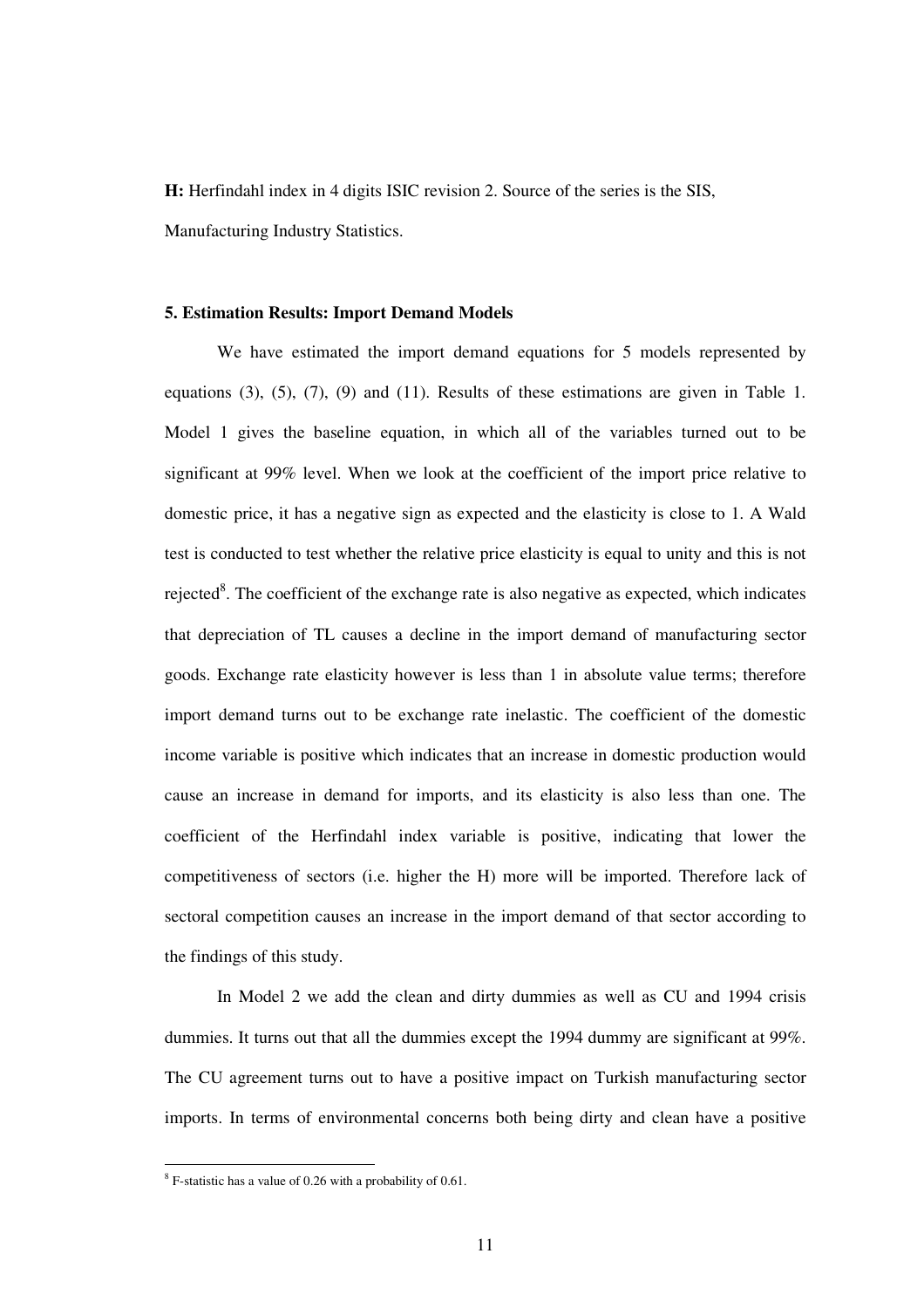**H:** Herfindahl index in 4 digits ISIC revision 2. Source of the series is the SIS, Manufacturing Industry Statistics.

#### **5. Estimation Results: Import Demand Models**

We have estimated the import demand equations for 5 models represented by equations (3), (5), (7), (9) and (11). Results of these estimations are given in Table 1. Model 1 gives the baseline equation, in which all of the variables turned out to be significant at 99% level. When we look at the coefficient of the import price relative to domestic price, it has a negative sign as expected and the elasticity is close to 1. A Wald test is conducted to test whether the relative price elasticity is equal to unity and this is not rejected<sup>8</sup>. The coefficient of the exchange rate is also negative as expected, which indicates that depreciation of TL causes a decline in the import demand of manufacturing sector goods. Exchange rate elasticity however is less than 1 in absolute value terms; therefore import demand turns out to be exchange rate inelastic. The coefficient of the domestic income variable is positive which indicates that an increase in domestic production would cause an increase in demand for imports, and its elasticity is also less than one. The coefficient of the Herfindahl index variable is positive, indicating that lower the competitiveness of sectors (i.e. higher the H) more will be imported. Therefore lack of sectoral competition causes an increase in the import demand of that sector according to the findings of this study.

In Model 2 we add the clean and dirty dummies as well as CU and 1994 crisis dummies. It turns out that all the dummies except the 1994 dummy are significant at 99%. The CU agreement turns out to have a positive impact on Turkish manufacturing sector imports. In terms of environmental concerns both being dirty and clean have a positive

 $8$  F-statistic has a value of 0.26 with a probability of 0.61.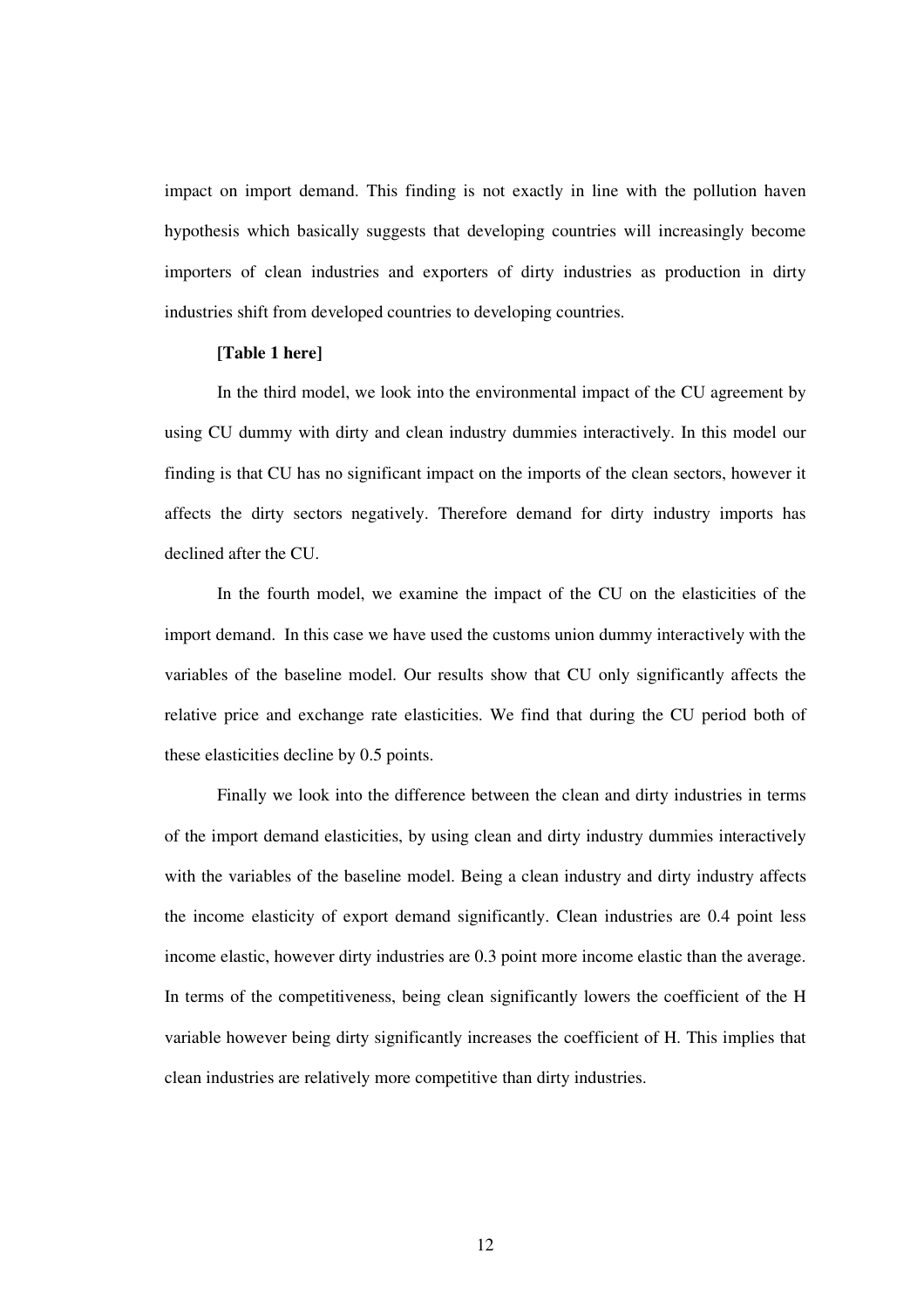impact on import demand. This finding is not exactly in line with the pollution haven hypothesis which basically suggests that developing countries will increasingly become importers of clean industries and exporters of dirty industries as production in dirty industries shift from developed countries to developing countries.

#### **[Table 1 here]**

In the third model, we look into the environmental impact of the CU agreement by using CU dummy with dirty and clean industry dummies interactively. In this model our finding is that CU has no significant impact on the imports of the clean sectors, however it affects the dirty sectors negatively. Therefore demand for dirty industry imports has declined after the CU.

In the fourth model, we examine the impact of the CU on the elasticities of the import demand. In this case we have used the customs union dummy interactively with the variables of the baseline model. Our results show that CU only significantly affects the relative price and exchange rate elasticities. We find that during the CU period both of these elasticities decline by 0.5 points.

Finally we look into the difference between the clean and dirty industries in terms of the import demand elasticities, by using clean and dirty industry dummies interactively with the variables of the baseline model. Being a clean industry and dirty industry affects the income elasticity of export demand significantly. Clean industries are 0.4 point less income elastic, however dirty industries are 0.3 point more income elastic than the average. In terms of the competitiveness, being clean significantly lowers the coefficient of the H variable however being dirty significantly increases the coefficient of H. This implies that clean industries are relatively more competitive than dirty industries.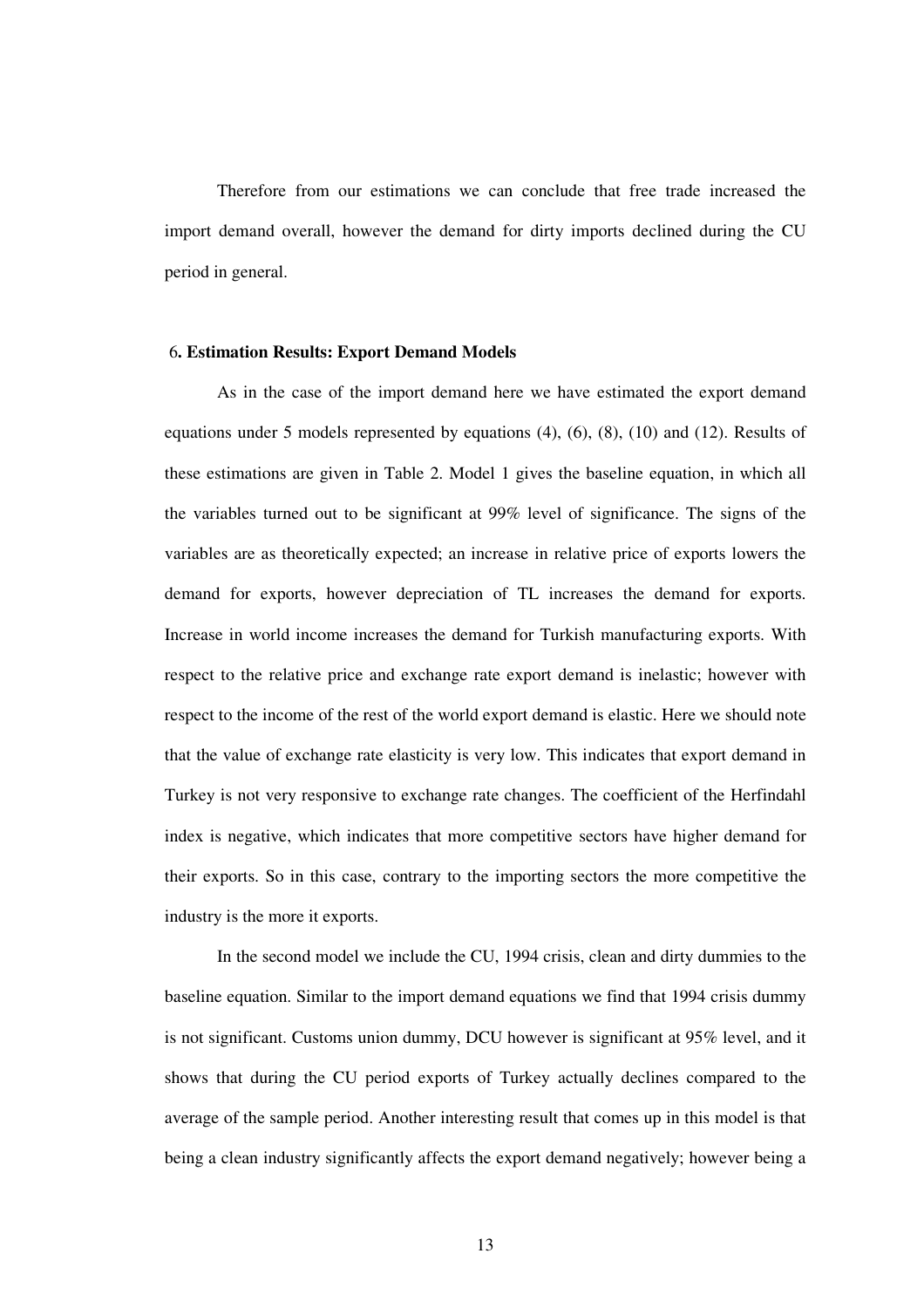Therefore from our estimations we can conclude that free trade increased the import demand overall, however the demand for dirty imports declined during the CU period in general.

#### 6**. Estimation Results: Export Demand Models**

As in the case of the import demand here we have estimated the export demand equations under 5 models represented by equations (4), (6), (8), (10) and (12). Results of these estimations are given in Table 2. Model 1 gives the baseline equation, in which all the variables turned out to be significant at 99% level of significance. The signs of the variables are as theoretically expected; an increase in relative price of exports lowers the demand for exports, however depreciation of TL increases the demand for exports. Increase in world income increases the demand for Turkish manufacturing exports. With respect to the relative price and exchange rate export demand is inelastic; however with respect to the income of the rest of the world export demand is elastic. Here we should note that the value of exchange rate elasticity is very low. This indicates that export demand in Turkey is not very responsive to exchange rate changes. The coefficient of the Herfindahl index is negative, which indicates that more competitive sectors have higher demand for their exports. So in this case, contrary to the importing sectors the more competitive the industry is the more it exports.

In the second model we include the CU, 1994 crisis, clean and dirty dummies to the baseline equation. Similar to the import demand equations we find that 1994 crisis dummy is not significant. Customs union dummy, DCU however is significant at 95% level, and it shows that during the CU period exports of Turkey actually declines compared to the average of the sample period. Another interesting result that comes up in this model is that being a clean industry significantly affects the export demand negatively; however being a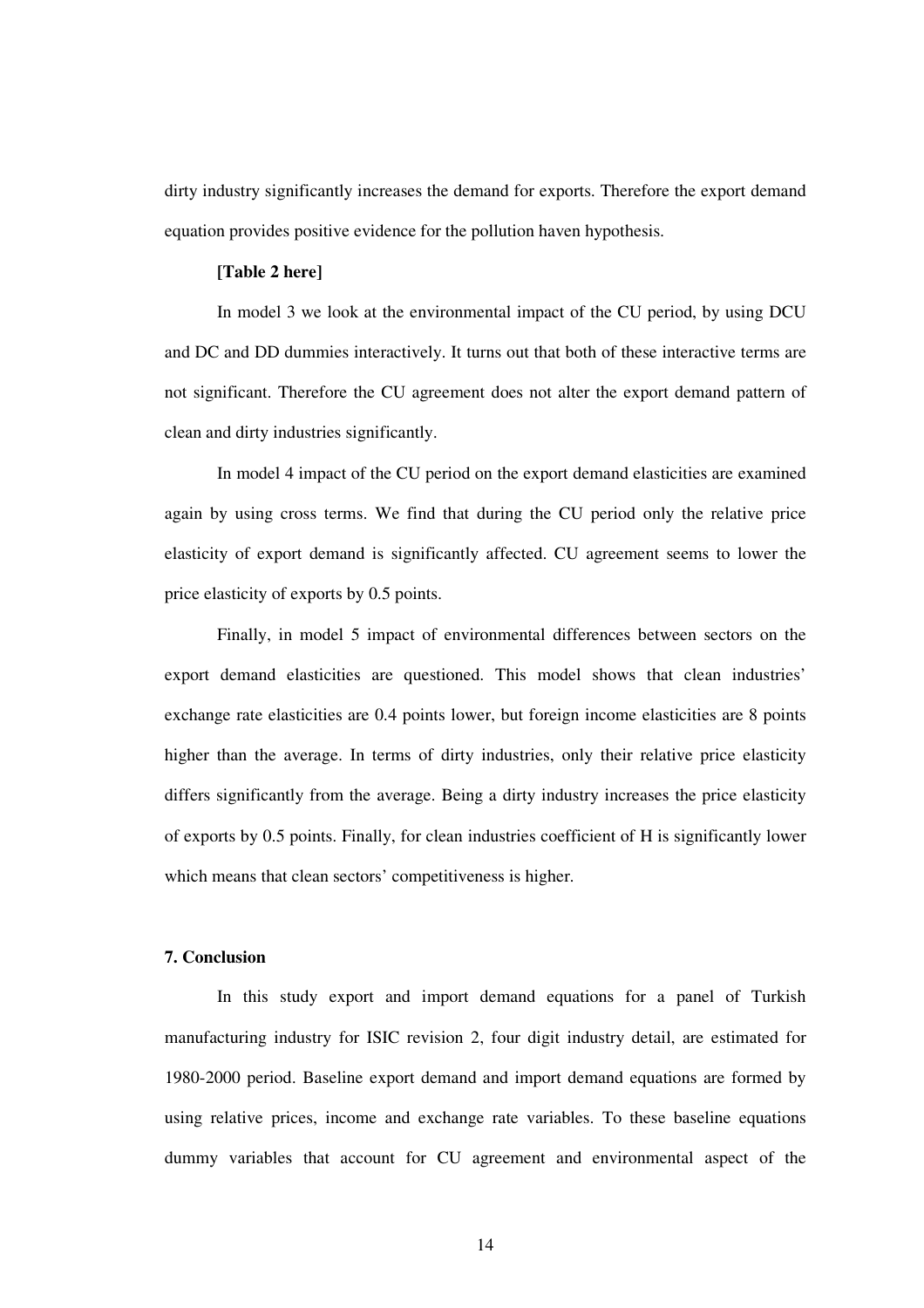dirty industry significantly increases the demand for exports. Therefore the export demand equation provides positive evidence for the pollution haven hypothesis.

## **[Table 2 here]**

In model 3 we look at the environmental impact of the CU period, by using DCU and DC and DD dummies interactively. It turns out that both of these interactive terms are not significant. Therefore the CU agreement does not alter the export demand pattern of clean and dirty industries significantly.

In model 4 impact of the CU period on the export demand elasticities are examined again by using cross terms. We find that during the CU period only the relative price elasticity of export demand is significantly affected. CU agreement seems to lower the price elasticity of exports by 0.5 points.

Finally, in model 5 impact of environmental differences between sectors on the export demand elasticities are questioned. This model shows that clean industries' exchange rate elasticities are 0.4 points lower, but foreign income elasticities are 8 points higher than the average. In terms of dirty industries, only their relative price elasticity differs significantly from the average. Being a dirty industry increases the price elasticity of exports by 0.5 points. Finally, for clean industries coefficient of H is significantly lower which means that clean sectors' competitiveness is higher.

## **7. Conclusion**

In this study export and import demand equations for a panel of Turkish manufacturing industry for ISIC revision 2, four digit industry detail, are estimated for 1980-2000 period. Baseline export demand and import demand equations are formed by using relative prices, income and exchange rate variables. To these baseline equations dummy variables that account for CU agreement and environmental aspect of the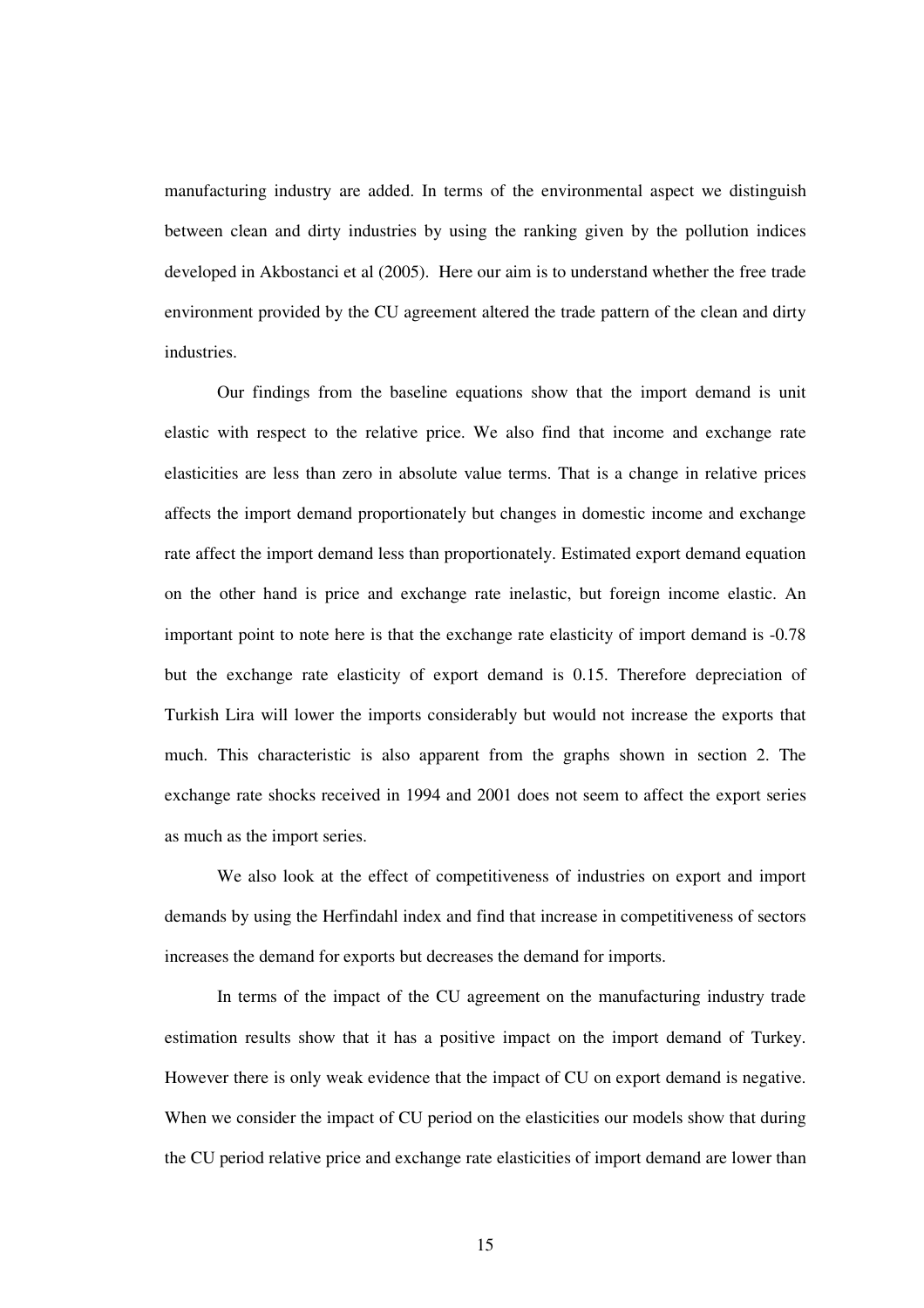manufacturing industry are added. In terms of the environmental aspect we distinguish between clean and dirty industries by using the ranking given by the pollution indices developed in Akbostanci et al (2005). Here our aim is to understand whether the free trade environment provided by the CU agreement altered the trade pattern of the clean and dirty industries.

Our findings from the baseline equations show that the import demand is unit elastic with respect to the relative price. We also find that income and exchange rate elasticities are less than zero in absolute value terms. That is a change in relative prices affects the import demand proportionately but changes in domestic income and exchange rate affect the import demand less than proportionately. Estimated export demand equation on the other hand is price and exchange rate inelastic, but foreign income elastic. An important point to note here is that the exchange rate elasticity of import demand is -0.78 but the exchange rate elasticity of export demand is 0.15. Therefore depreciation of Turkish Lira will lower the imports considerably but would not increase the exports that much. This characteristic is also apparent from the graphs shown in section 2. The exchange rate shocks received in 1994 and 2001 does not seem to affect the export series as much as the import series.

We also look at the effect of competitiveness of industries on export and import demands by using the Herfindahl index and find that increase in competitiveness of sectors increases the demand for exports but decreases the demand for imports.

In terms of the impact of the CU agreement on the manufacturing industry trade estimation results show that it has a positive impact on the import demand of Turkey. However there is only weak evidence that the impact of CU on export demand is negative. When we consider the impact of CU period on the elasticities our models show that during the CU period relative price and exchange rate elasticities of import demand are lower than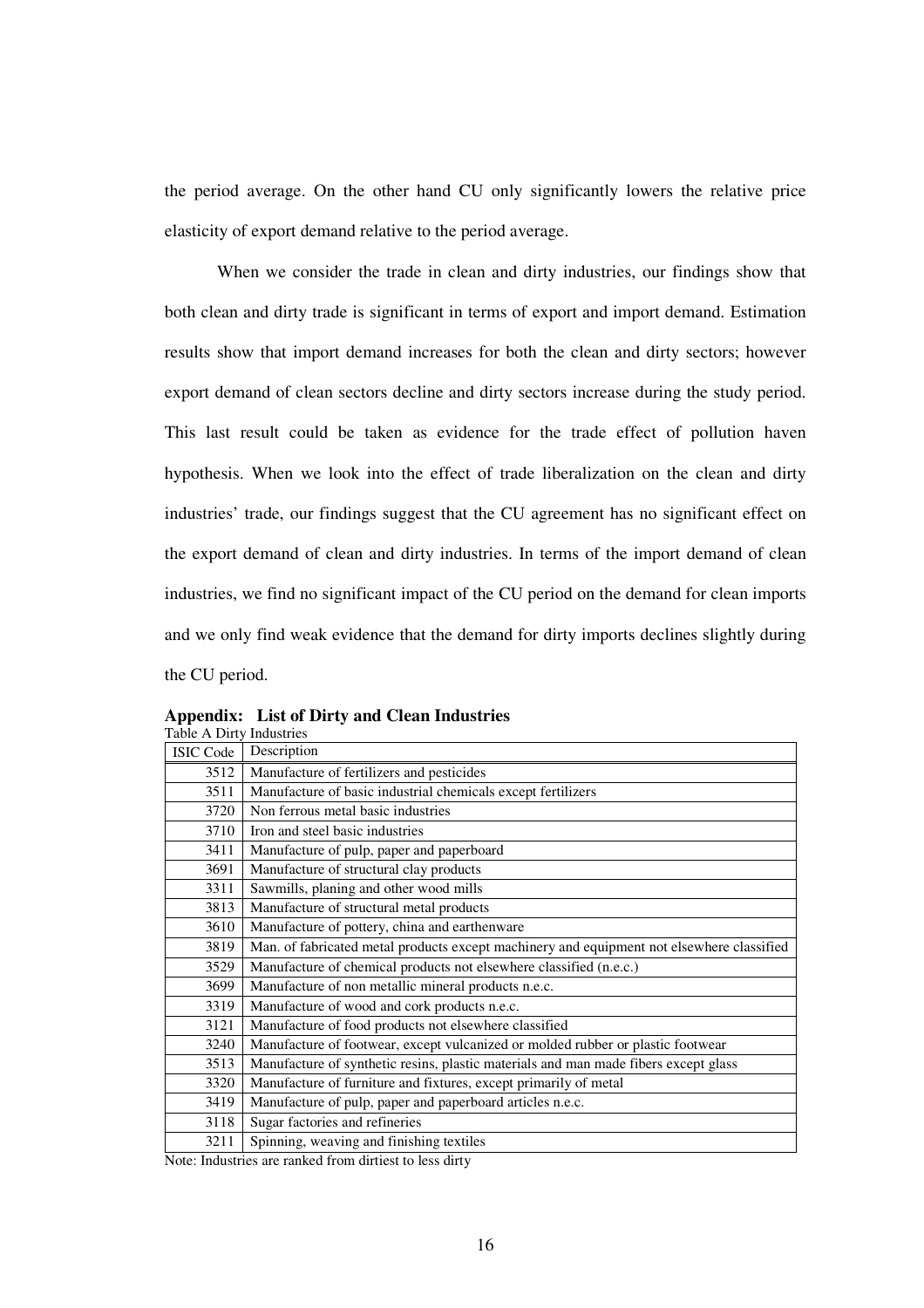the period average. On the other hand CU only significantly lowers the relative price elasticity of export demand relative to the period average.

When we consider the trade in clean and dirty industries, our findings show that both clean and dirty trade is significant in terms of export and import demand. Estimation results show that import demand increases for both the clean and dirty sectors; however export demand of clean sectors decline and dirty sectors increase during the study period. This last result could be taken as evidence for the trade effect of pollution haven hypothesis. When we look into the effect of trade liberalization on the clean and dirty industries' trade, our findings suggest that the CU agreement has no significant effect on the export demand of clean and dirty industries. In terms of the import demand of clean industries, we find no significant impact of the CU period on the demand for clean imports and we only find weak evidence that the demand for dirty imports declines slightly during the CU period.

| <b>ISIC Code</b> | Description                                                                               |
|------------------|-------------------------------------------------------------------------------------------|
| 3512             | Manufacture of fertilizers and pesticides                                                 |
| 3511             | Manufacture of basic industrial chemicals except fertilizers                              |
| 3720             | Non ferrous metal basic industries                                                        |
| 3710             | Iron and steel basic industries                                                           |
| 3411             | Manufacture of pulp, paper and paperboard                                                 |
| 3691             | Manufacture of structural clay products                                                   |
| 3311             | Sawmills, planing and other wood mills                                                    |
| 3813             | Manufacture of structural metal products                                                  |
| 3610             | Manufacture of pottery, china and earthenware                                             |
| 3819             | Man. of fabricated metal products except machinery and equipment not elsewhere classified |
| 3529             | Manufacture of chemical products not elsewhere classified (n.e.c.)                        |
| 3699             | Manufacture of non metallic mineral products n.e.c.                                       |
| 3319             | Manufacture of wood and cork products n.e.c.                                              |
| 3121             | Manufacture of food products not elsewhere classified                                     |
| 3240             | Manufacture of footwear, except vulcanized or molded rubber or plastic footwear           |
| 3513             | Manufacture of synthetic resins, plastic materials and man made fibers except glass       |
| 3320             | Manufacture of furniture and fixtures, except primarily of metal                          |
| 3419             | Manufacture of pulp, paper and paperboard articles n.e.c.                                 |
| 3118             | Sugar factories and refineries                                                            |
| 3211             | Spinning, weaving and finishing textiles                                                  |

**Appendix: List of Dirty and Clean Industries** Table A Dirty Industries

Note: Industries are ranked from dirtiest to less dirty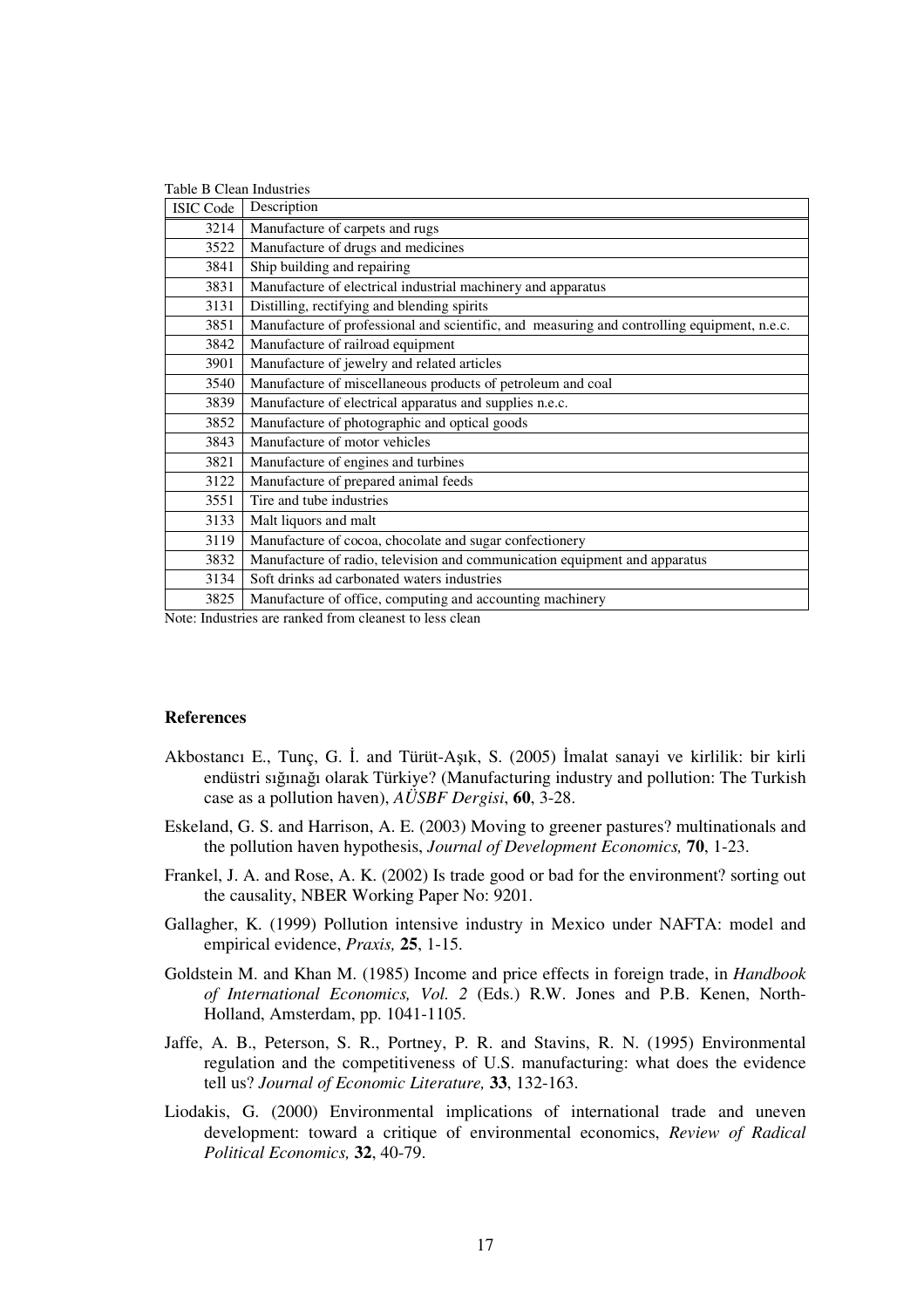| Table B Clean Industries |                                                                                             |  |  |  |  |
|--------------------------|---------------------------------------------------------------------------------------------|--|--|--|--|
| <b>ISIC Code</b>         | Description                                                                                 |  |  |  |  |
| 3214                     | Manufacture of carpets and rugs                                                             |  |  |  |  |
| 3522                     | Manufacture of drugs and medicines                                                          |  |  |  |  |
| 3841                     | Ship building and repairing                                                                 |  |  |  |  |
| 3831                     | Manufacture of electrical industrial machinery and apparatus                                |  |  |  |  |
| 3131                     | Distilling, rectifying and blending spirits                                                 |  |  |  |  |
| 3851                     | Manufacture of professional and scientific, and measuring and controlling equipment, n.e.c. |  |  |  |  |
| 3842                     | Manufacture of railroad equipment                                                           |  |  |  |  |
| 3901                     | Manufacture of jewelry and related articles                                                 |  |  |  |  |
| 3540                     | Manufacture of miscellaneous products of petroleum and coal                                 |  |  |  |  |
| 3839                     | Manufacture of electrical apparatus and supplies n.e.c.                                     |  |  |  |  |
| 3852                     | Manufacture of photographic and optical goods                                               |  |  |  |  |
| 3843                     | Manufacture of motor vehicles                                                               |  |  |  |  |
| 3821                     | Manufacture of engines and turbines                                                         |  |  |  |  |
| 3122                     | Manufacture of prepared animal feeds                                                        |  |  |  |  |
| 3551                     | Tire and tube industries                                                                    |  |  |  |  |
| 3133                     | Malt liquors and malt                                                                       |  |  |  |  |
| 3119                     | Manufacture of cocoa, chocolate and sugar confectionery                                     |  |  |  |  |
| 3832                     | Manufacture of radio, television and communication equipment and apparatus                  |  |  |  |  |
| 3134                     | Soft drinks ad carbonated waters industries                                                 |  |  |  |  |
| 3825                     | Manufacture of office, computing and accounting machinery                                   |  |  |  |  |

Note: Industries are ranked from cleanest to less clean

#### **References**

- Akbostancı E., Tunç, G. İ. and Türüt-Aşık, S. (2005) İmalat sanayi ve kirlilik: bir kirli endüstri sığınağı olarak Türkiye? (Manufacturing industry and pollution: The Turkish case as a pollution haven), *AÜSBF Dergisi*, **60**, 3-28.
- Eskeland, G. S. and Harrison, A. E. (2003) Moving to greener pastures? multinationals and the pollution haven hypothesis, *Journal of Development Economics,* **70**, 1-23.
- Frankel, J. A. and Rose, A. K. (2002) Is trade good or bad for the environment? sorting out the causality, NBER Working Paper No: 9201.
- Gallagher, K. (1999) Pollution intensive industry in Mexico under NAFTA: model and empirical evidence, *Praxis,* **25**, 1-15.
- Goldstein M. and Khan M. (1985) Income and price effects in foreign trade, in *Handbook of International Economics, Vol. 2* (Eds.) R.W. Jones and P.B. Kenen, North-Holland, Amsterdam, pp. 1041-1105.
- Jaffe, A. B., Peterson, S. R., Portney, P. R. and Stavins, R. N. (1995) Environmental regulation and the competitiveness of U.S. manufacturing: what does the evidence tell us? *Journal of Economic Literature,* **33**, 132-163.
- Liodakis, G. (2000) Environmental implications of international trade and uneven development: toward a critique of environmental economics, *Review of Radical Political Economics,* **32**, 40-79.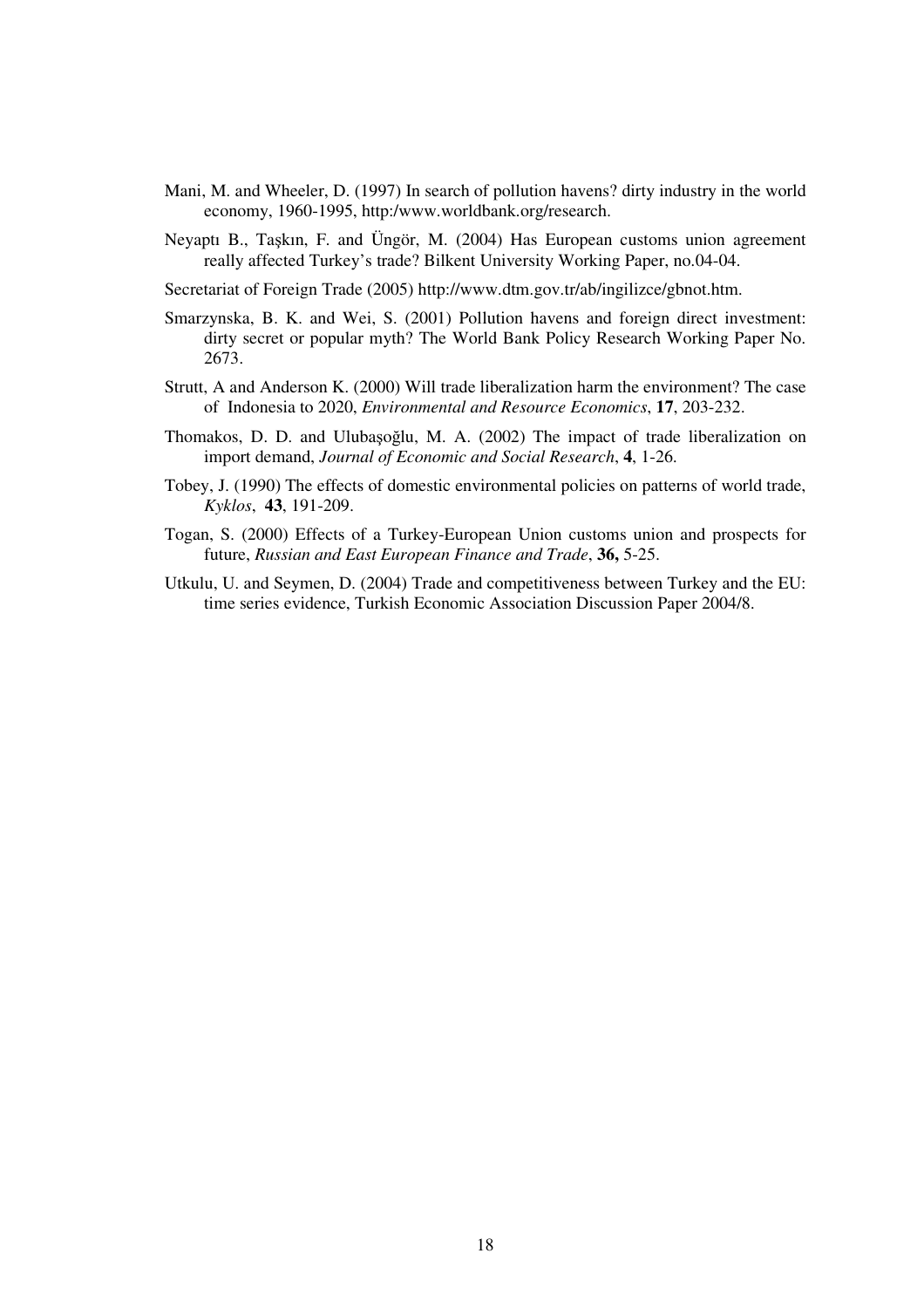- Mani, M. and Wheeler, D. (1997) In search of pollution havens? dirty industry in the world economy, 1960-1995, http:/www.worldbank.org/research.
- Neyaptı B., Taşkın, F. and Üngör, M. (2004) Has European customs union agreement really affected Turkey's trade? Bilkent University Working Paper, no.04-04.
- Secretariat of Foreign Trade (2005) http://www.dtm.gov.tr/ab/ingilizce/gbnot.htm.
- Smarzynska, B. K. and Wei, S. (2001) Pollution havens and foreign direct investment: dirty secret or popular myth? The World Bank Policy Research Working Paper No. 2673.
- Strutt, A and Anderson K. (2000) Will trade liberalization harm the environment? The case of Indonesia to 2020, *Environmental and Resource Economics*, **17**, 203-232.
- Thomakos, D. D. and Ulubașoğlu, M. A. (2002) The impact of trade liberalization on import demand, *Journal of Economic and Social Research*, **4**, 1-26.
- Tobey, J. (1990) The effects of domestic environmental policies on patterns of world trade, *Kyklos*, **43**, 191-209.
- Togan, S. (2000) Effects of a Turkey-European Union customs union and prospects for future, *Russian and East European Finance and Trade*, **36,** 5-25.
- Utkulu, U. and Seymen, D. (2004) Trade and competitiveness between Turkey and the EU: time series evidence, Turkish Economic Association Discussion Paper 2004/8.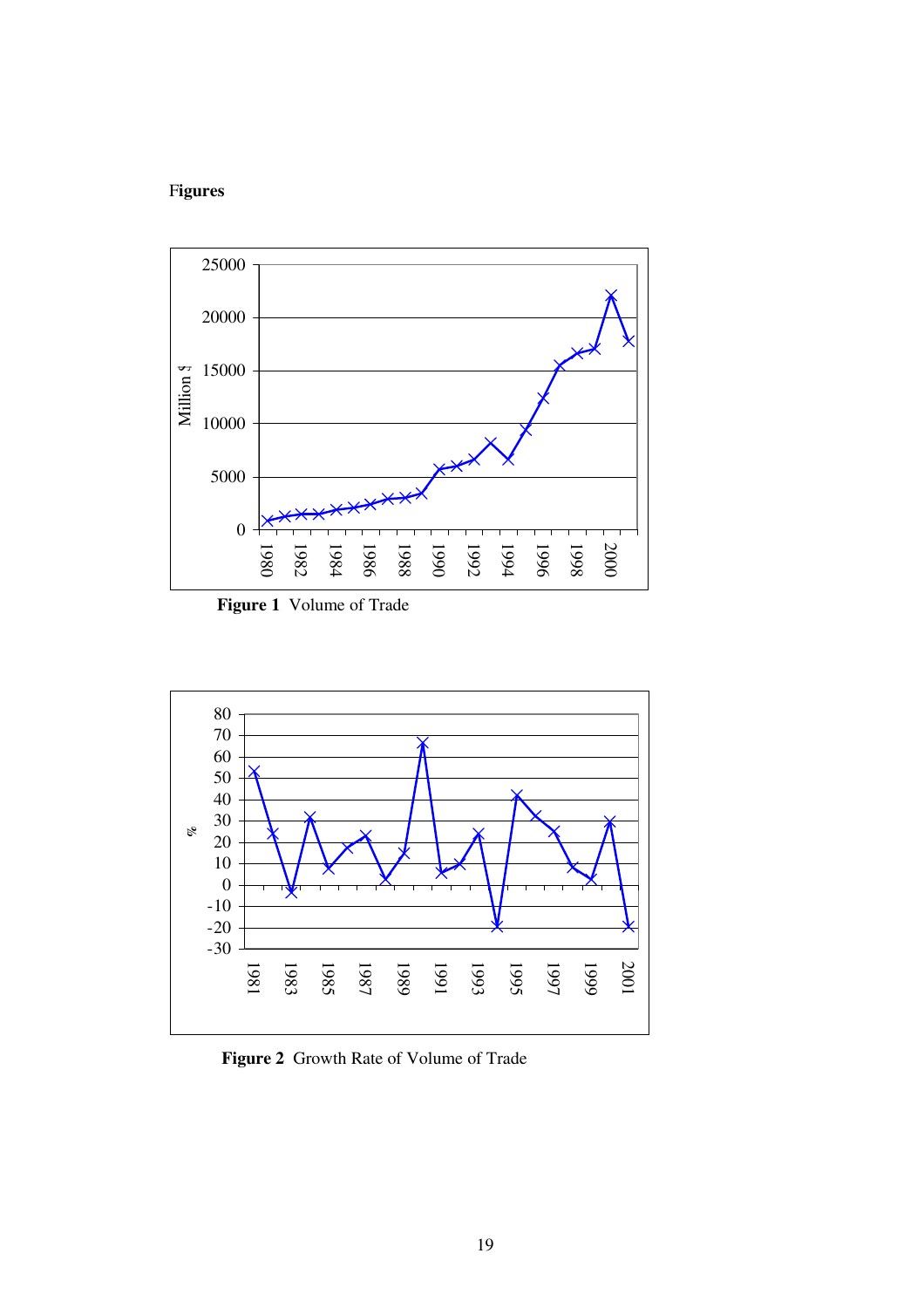# F**igures**



**Figure 1** Volume of Trade



**Figure 2** Growth Rate of Volume of Trade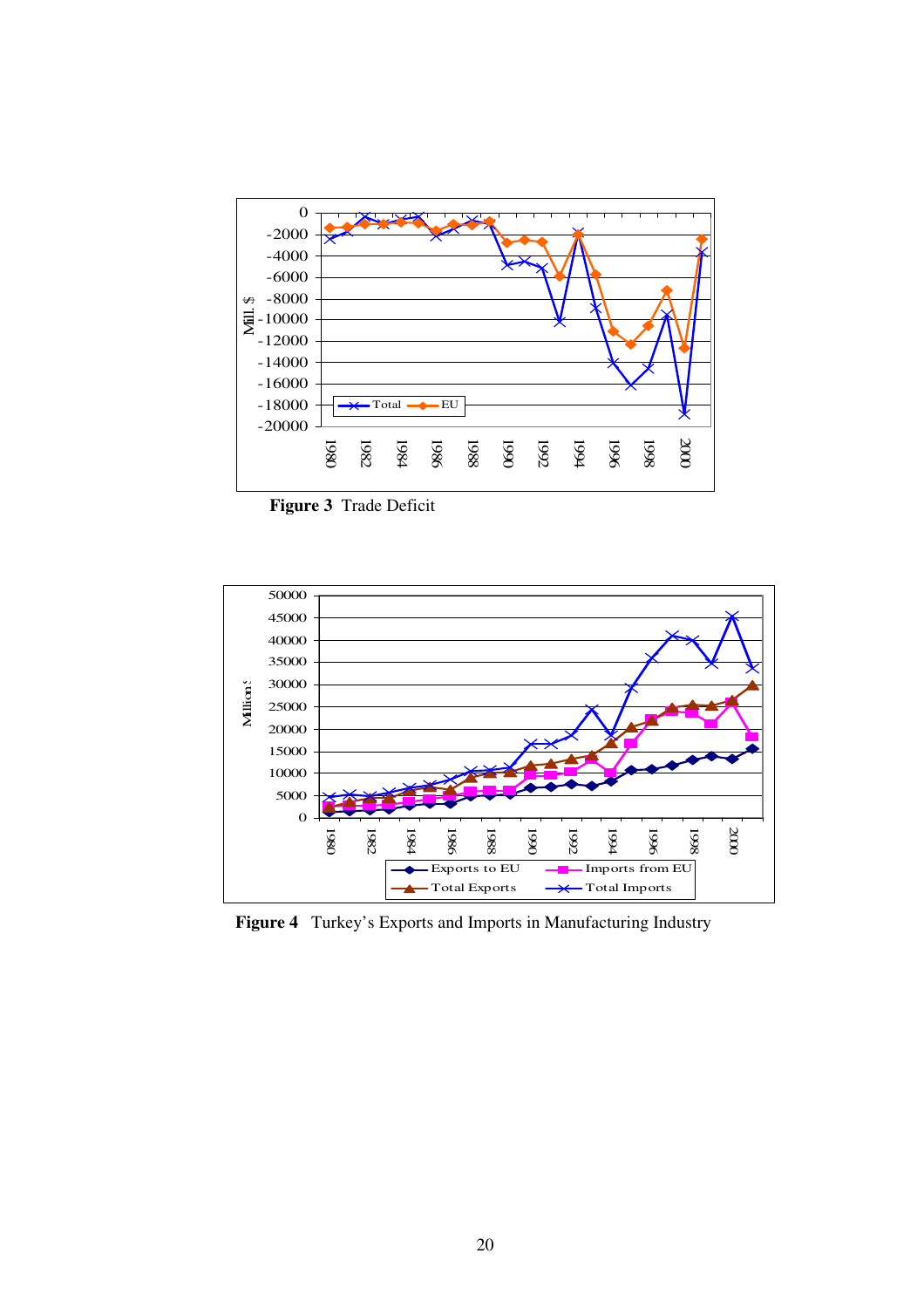

**Figure 3** Trade Deficit



**Figure 4** Turkey's Exports and Imports in Manufacturing Industry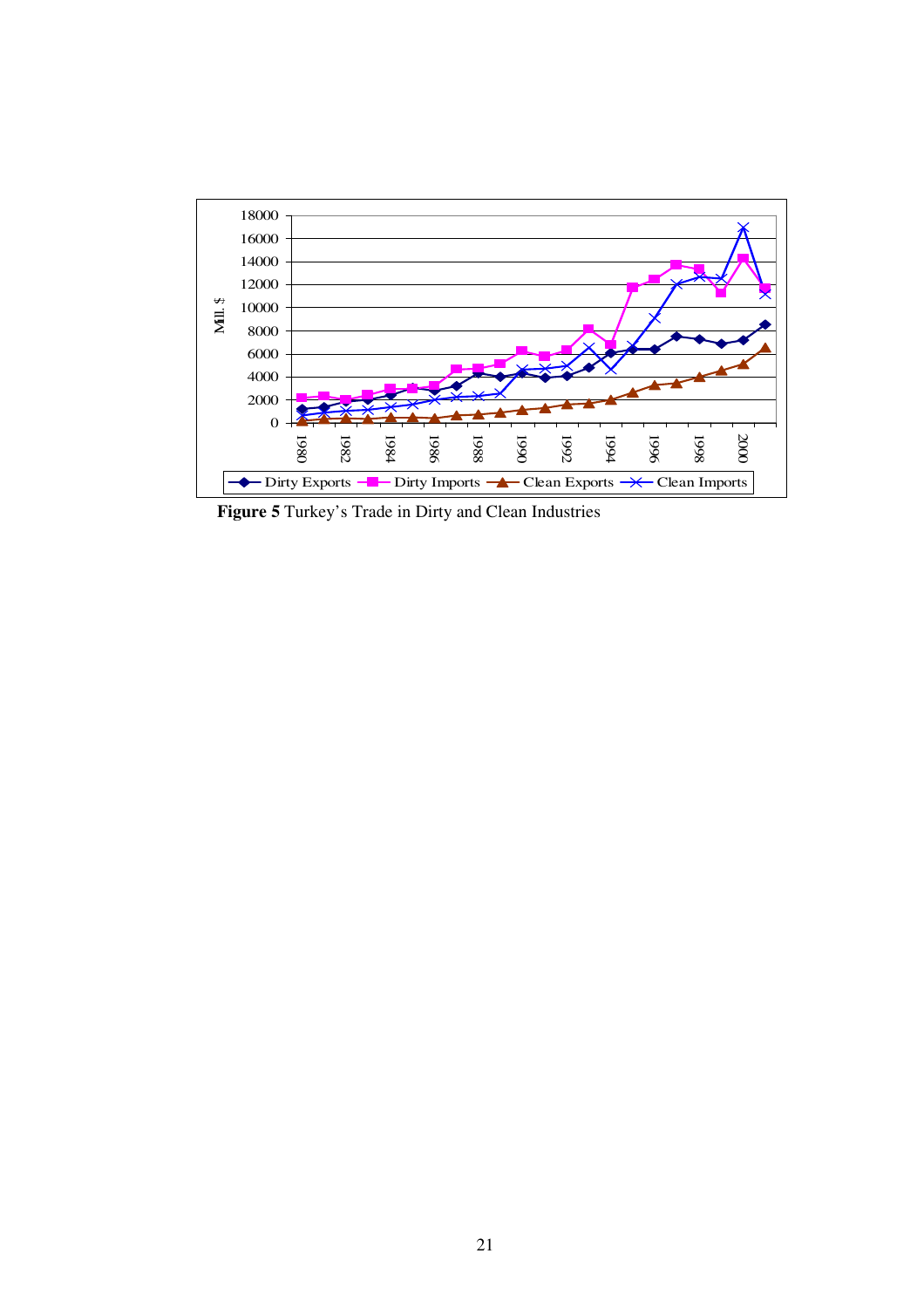

**Figure 5** Turkey's Trade in Dirty and Clean Industries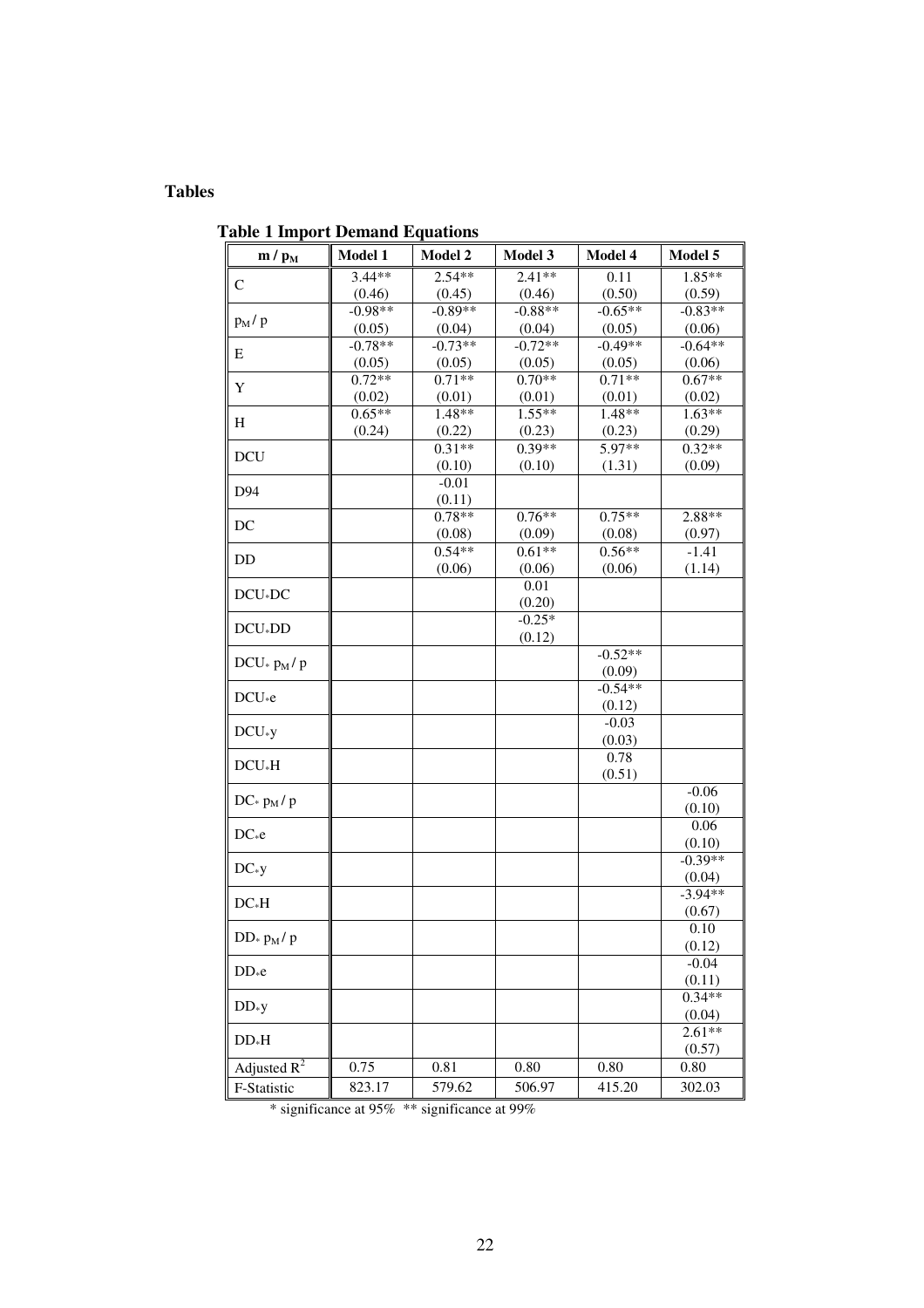## **Tables**

**Table 1 Import Demand Equations**

| $m/p_M$                       | <b>Model 1</b> | <b>Model 2</b> | <b>Model 3</b> | <b>Model 4</b>      | Model 5   |
|-------------------------------|----------------|----------------|----------------|---------------------|-----------|
|                               | 3.44**         | $2.54**$       | $2.41**$       | 0.11                | $1.85**$  |
| $\mathsf{C}$                  | (0.46)         | (0.45)         | (0.46)         | (0.50)              | (0.59)    |
|                               | $-0.98**$      | $-0.89**$      | $-0.88**$      | $-0.65**$           | $-0.83**$ |
| $p_M/p$                       | (0.05)         | (0.04)         | (0.04)         | (0.05)              | (0.06)    |
|                               | $-0.78**$      | $-0.73**$      | $-0.72**$      | $-0.49**$           | $-0.64**$ |
| Ε                             | (0.05)         | (0.05)         | (0.05)         | (0.05)              | (0.06)    |
|                               | $0.72**$       | $0.71**$       | $0.70**$       | $0.71**$            | $0.67**$  |
| Y                             | (0.02)         | (0.01)         | (0.01)         | (0.01)              | (0.02)    |
|                               | $0.65**$       | 1.48**         | $1.55**$       | 1.48**              | $1.63**$  |
| Η                             | (0.24)         | (0.22)         | (0.23)         | (0.23)              | (0.29)    |
| <b>DCU</b>                    |                | $0.31**$       | $0.39**$       | 5.97**              | $0.32**$  |
|                               |                | (0.10)         | (0.10)         | (1.31)              | (0.09)    |
| D94                           |                | $-0.01$        |                |                     |           |
|                               |                | (0.11)         |                |                     |           |
| DC                            |                | $0.78**$       | $0.76**$       | $0.75**$            | 2.88**    |
|                               |                | (0.08)         | (0.09)         | (0.08)              | (0.97)    |
| DD                            |                | $0.54**$       | $0.61**$       | $0.56**$            | $-1.41$   |
|                               |                | (0.06)         | (0.06)         | (0.06)              | (1.14)    |
| $DCU*DC$                      |                |                | 0.01           |                     |           |
|                               |                |                | (0.20)         |                     |           |
| $DCU_*DD$                     |                |                | $-0.25*$       |                     |           |
|                               |                |                | (0.12)         |                     |           |
| $DCU_{\ast}$ $p_M/$ $p$       |                |                |                | $-0.52**$           |           |
|                               |                |                |                | (0.09)<br>$-0.54**$ |           |
| $DCU_*e$                      |                |                |                | (0.12)              |           |
|                               |                |                |                | $-0.03$             |           |
| $DCU*y$                       |                |                |                | (0.03)              |           |
|                               |                |                |                | 0.78                |           |
| $DCU*H$                       |                |                |                | (0.51)              |           |
|                               |                |                |                |                     | $-0.06$   |
| $DC \times p_M / p$           |                |                |                |                     | (0.10)    |
|                               |                |                |                |                     | 0.06      |
| $DC_*e$                       |                |                |                |                     | (0.10)    |
|                               |                |                |                |                     | $-0.39**$ |
| $DC*y$                        |                |                |                |                     | (0.04)    |
| $DC*H$                        |                |                |                |                     | $-3.94**$ |
|                               |                |                |                |                     | (0.67)    |
| $DD_{\ast}$ $p_{\rm M}$ / $p$ |                |                |                |                     | 0.10      |
|                               |                |                |                |                     | (0.12)    |
| $DD_*e$                       |                |                |                |                     | $-0.04$   |
|                               |                |                |                |                     | (0.11)    |
| $DD*y$                        |                |                |                |                     | $0.34**$  |
|                               |                |                |                |                     | (0.04)    |
| $DD*H$                        |                |                |                |                     | $2.61**$  |
|                               |                |                |                |                     | (0.57)    |
| Adjusted $R^2$                | 0.75           | 0.81           | 0.80           | 0.80                | 0.80      |
| F-Statistic                   | 823.17         | 579.62         | 506.97         | 415.20              | 302.03    |

\* significance at 95% \*\* significance at 99%